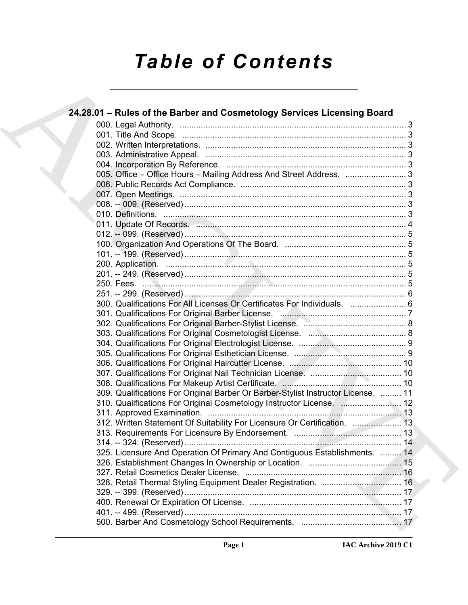# *Table of Contents*

| 24.28.01 - Rules of the Barber and Cosmetology Services Licensing Board                                                                                                                                                        |  |
|--------------------------------------------------------------------------------------------------------------------------------------------------------------------------------------------------------------------------------|--|
|                                                                                                                                                                                                                                |  |
|                                                                                                                                                                                                                                |  |
|                                                                                                                                                                                                                                |  |
|                                                                                                                                                                                                                                |  |
|                                                                                                                                                                                                                                |  |
| 005. Office – Office Hours – Mailing Address And Street Address. 3                                                                                                                                                             |  |
|                                                                                                                                                                                                                                |  |
|                                                                                                                                                                                                                                |  |
|                                                                                                                                                                                                                                |  |
|                                                                                                                                                                                                                                |  |
| 011. Update Of Records. 2008. 2008. 2009. 2011. Update Of Records. 2008. 2011. 2012. 2014. 2015. 2016. 2016. 2016. 2016. 2017. 2018. 2019. 2019. 2019. 2019. 2019. 2019. 2019. 2019. 2019. 2019. 2019. 2019. 2019. 2019. 2019. |  |
|                                                                                                                                                                                                                                |  |
|                                                                                                                                                                                                                                |  |
|                                                                                                                                                                                                                                |  |
|                                                                                                                                                                                                                                |  |
|                                                                                                                                                                                                                                |  |
|                                                                                                                                                                                                                                |  |
|                                                                                                                                                                                                                                |  |
| 300. Qualifications For All Licenses Or Certificates For Individuals.  6                                                                                                                                                       |  |
|                                                                                                                                                                                                                                |  |
|                                                                                                                                                                                                                                |  |
|                                                                                                                                                                                                                                |  |
|                                                                                                                                                                                                                                |  |
|                                                                                                                                                                                                                                |  |
|                                                                                                                                                                                                                                |  |
|                                                                                                                                                                                                                                |  |
|                                                                                                                                                                                                                                |  |
| 309. Qualifications For Original Barber Or Barber-Stylist Instructor License.  11                                                                                                                                              |  |
|                                                                                                                                                                                                                                |  |
|                                                                                                                                                                                                                                |  |
| 312. Written Statement Of Suitability For Licensure Or Certification.  13                                                                                                                                                      |  |
|                                                                                                                                                                                                                                |  |
|                                                                                                                                                                                                                                |  |
| 325. Licensure And Operation Of Primary And Contiguous Establishments.  14                                                                                                                                                     |  |
|                                                                                                                                                                                                                                |  |
|                                                                                                                                                                                                                                |  |
|                                                                                                                                                                                                                                |  |
|                                                                                                                                                                                                                                |  |
|                                                                                                                                                                                                                                |  |
|                                                                                                                                                                                                                                |  |
|                                                                                                                                                                                                                                |  |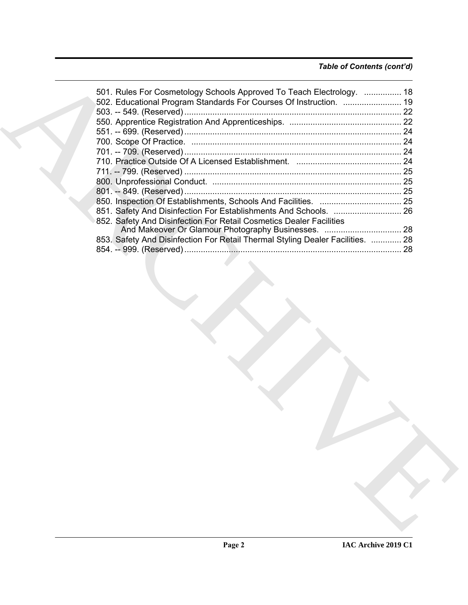### *Table of Contents (cont'd)*

| 501. Rules For Cosmetology Schools Approved To Teach Electrology.  18          |  |
|--------------------------------------------------------------------------------|--|
| 502. Educational Program Standards For Courses Of Instruction.  19             |  |
|                                                                                |  |
|                                                                                |  |
|                                                                                |  |
|                                                                                |  |
|                                                                                |  |
|                                                                                |  |
|                                                                                |  |
|                                                                                |  |
|                                                                                |  |
|                                                                                |  |
| 851. Safety And Disinfection For Establishments And Schools.  26               |  |
| 852. Safety And Disinfection For Retail Cosmetics Dealer Facilities            |  |
|                                                                                |  |
| 853. Safety And Disinfection For Retail Thermal Styling Dealer Facilities.  28 |  |
|                                                                                |  |
|                                                                                |  |
|                                                                                |  |
|                                                                                |  |
|                                                                                |  |
|                                                                                |  |
|                                                                                |  |
|                                                                                |  |
|                                                                                |  |
|                                                                                |  |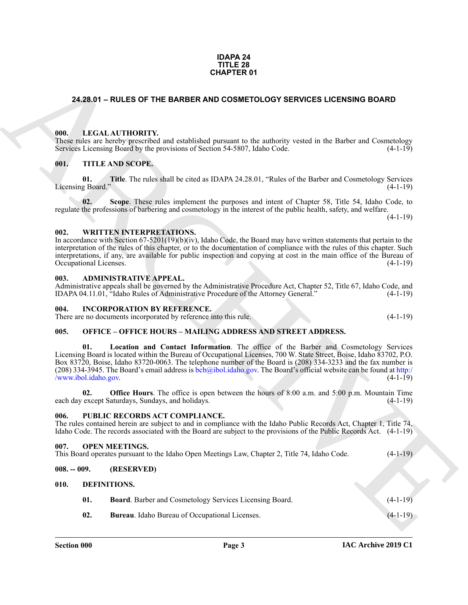#### **IDAPA 24 TITLE 28 CHAPTER 01**

#### <span id="page-2-0"></span>**24.28.01 – RULES OF THE BARBER AND COSMETOLOGY SERVICES LICENSING BOARD**

#### <span id="page-2-16"></span><span id="page-2-1"></span>**000. LEGAL AUTHORITY.**

These rules are hereby prescribed and established pursuant to the authority vested in the Barber and Cosmetology Services Licensing Board by the provisions of Section 54-5807, Idaho Code. (4-1-19)

#### <span id="page-2-20"></span><span id="page-2-2"></span>**001. TITLE AND SCOPE.**

**01. Title**. The rules shall be cited as IDAPA 24.28.01, "Rules of the Barber and Cosmetology Services Licensing Board." (4-1-19)

**02. Scope**. These rules implement the purposes and intent of Chapter 58, Title 54, Idaho Code, to regulate the professions of barbering and cosmetology in the interest of the public health, safety, and welfare.

 $(4-1-19)$ 

#### <span id="page-2-21"></span><span id="page-2-3"></span>**002. WRITTEN INTERPRETATIONS.**

In accordance with Section 67-5201(19)(b)(iv), Idaho Code, the Board may have written statements that pertain to the interpretation of the rules of this chapter, or to the documentation of compliance with the rules of this chapter. Such interpretations, if any, are available for public inspection and copying at cost in the main office of the Bureau of Occupational Licenses. (4-1-19)

#### <span id="page-2-11"></span><span id="page-2-4"></span>**003. ADMINISTRATIVE APPEAL.**

Administrative appeals shall be governed by the Administrative Procedure Act, Chapter 52, Title 67, Idaho Code, and IDAPA 04.11.01, "Idaho Rules of Administrative Procedure of the Attorney General." (4-1-19)

#### <span id="page-2-15"></span><span id="page-2-5"></span>**004. INCORPORATION BY REFERENCE.**

There are no documents incorporated by reference into this rule. (4-1-19)

#### <span id="page-2-17"></span><span id="page-2-6"></span>**005. OFFICE – OFFICE HOURS – MAILING ADDRESS AND STREET ADDRESS.**

**CHAPTER OT**<br>
24.28.01 – RULES OF THE BARBER AND COSMETOLOGY SER[V](http://www.ibol.idaho.gov)ICES LICENSING BOARD<br>
1001. LECAL ALTHONEYS, and existing the maintain original to the Sixter and Communication<br>
1001. THE ANS SCOPE.<br>
1601. THE ANS SCOPE.<br> **01. Location and Contact Information**. The office of the Barber and Cosmetology Services Licensing Board is located within the Bureau of Occupational Licenses, 700 W. State Street, Boise, Idaho 83702, P.O. Box 83720, Boise, Idaho 83720-0063. The telephone number of the Board is (208) 334-3233 and the fax number is (208) 334-3945. The Board's email address is  $bcb$ @ibol.idaho.gov. The Board's official website can be found at http:/  $\sqrt{wwwibol}.idaho.gov.$  (4-1-19)

**02. Office Hours**. The office is open between the hours of 8:00 a.m. and 5:00 p.m. Mountain Time each day except Saturdays, Sundays, and holidays. (4-1-19) (4-1-19)

#### <span id="page-2-19"></span><span id="page-2-7"></span>**006. PUBLIC RECORDS ACT COMPLIANCE.**

The rules contained herein are subject to and in compliance with the Idaho Public Records Act, Chapter 1, Title 74, Idaho Code. The records associated with the Board are subject to the provisions of the Public Records Act. (4-1-19)

#### <span id="page-2-18"></span><span id="page-2-8"></span>**007. OPEN MEETINGS.**

| This Board operates pursuant to the Idaho Open Meetings Law, Chapter 2, Title 74, Idaho Code. | $(4-1-19)$ |  |
|-----------------------------------------------------------------------------------------------|------------|--|
|-----------------------------------------------------------------------------------------------|------------|--|

#### <span id="page-2-9"></span>**008. -- 009. (RESERVED)**

#### <span id="page-2-10"></span>**010. DEFINITIONS.**

<span id="page-2-14"></span><span id="page-2-13"></span><span id="page-2-12"></span>

| 01. | <b>Board.</b> Barber and Cosmetology Services Licensing Board. | $(4-1-19)$ |
|-----|----------------------------------------------------------------|------------|
| 02. | <b>Bureau.</b> Idaho Bureau of Occupational Licenses.          | $(4-1-19)$ |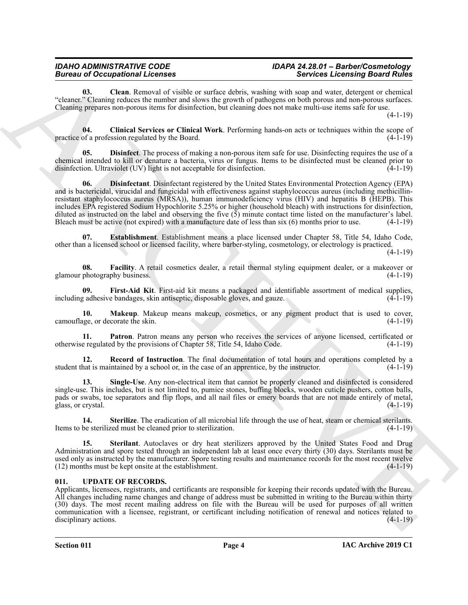#### *IDAHO ADMINISTRATIVE CODE IDAPA 24.28.01 – Barber/Cosmetology*  **Bureau of Occupational Licenses**

<span id="page-3-1"></span>**03. Clean**. Removal of visible or surface debris, washing with soap and water, detergent or chemical "cleaner." Cleaning reduces the number and slows the growth of pathogens on both porous and non-porous surfaces. Cleaning prepares non-porous items for disinfection, but cleaning does not make multi-use items safe for use.

 $(4-1-19)$ 

<span id="page-3-2"></span>**04. Clinical Services or Clinical Work**. Performing hands-on acts or techniques within the scope of practice of a profession regulated by the Board.

<span id="page-3-4"></span><span id="page-3-3"></span>**05. Disinfect**. The process of making a non-porous item safe for use. Disinfecting requires the use of a chemical intended to kill or denature a bacteria, virus or fungus. Items to be disinfected must be cleaned prior to disinfection. Ultraviolet (UV) light is not acceptable for disinfection. (4-1-19)

Borrow of Comparison in Lemma 12. Second 13. Second 14. Second 14. Second 14. Second 14. Second 14. Second 14. Second 14. Second 14. Second 14. Second 14. Second 14. Second 14. Second 14. Second 14. Second 14. Second 14. **06. Disinfectant**. Disinfectant registered by the United States Environmental Protection Agency (EPA) and is bactericidal, virucidal and fungicidal with effectiveness against staphylococcus aureus (including methicillinresistant staphylococcus aureus (MRSA)), human immunodeficiency virus (HIV) and hepatitis B (HEPB). This includes EPA registered Sodium Hypochlorite 5.25% or higher (household bleach) with instructions for disinfection, diluted as instructed on the label and observing the five (5) minute contact time listed on the manufacturer's label. Bleach must be active (not expired) with a manufacture date of less than six (6) months prior to use. (4-1-19)

<span id="page-3-5"></span>**07. Establishment**. Establishment means a place licensed under Chapter 58, Title 54, Idaho Code, other than a licensed school or licensed facility, where barber-styling, cosmetology, or electrology is practiced.

(4-1-19)

<span id="page-3-6"></span>**08. Facility**. A retail cosmetics dealer, a retail thermal styling equipment dealer, or a makeover or glamour photography business. (4-1-19)

<span id="page-3-7"></span>**09.** First-Aid Kit. First-aid kit means a packaged and identifiable assortment of medical supplies, a adhesive bandages, skin antiseptic, disposable gloves, and gauze. (4-1-19) including adhesive bandages, skin antiseptic, disposable gloves, and gauze.

<span id="page-3-8"></span>**10. Makeup**. Makeup means makeup, cosmetics, or any pigment product that is used to cover, uge, or decorate the skin. (4-1-19) camouflage, or decorate the skin.

<span id="page-3-9"></span>**Patron**. Patron means any person who receives the services of anyone licensed, certificated or otherwise regulated by the provisions of Chapter 58, Title 54, Idaho Code. (4-1-19)

<span id="page-3-10"></span>**12. Record of Instruction**. The final documentation of total hours and operations completed by a hat is maintained by a school or, in the case of an apprentice, by the instructor. (4-1-19) student that is maintained by a school or, in the case of an apprentice, by the instructor.

<span id="page-3-11"></span>**13. Single-Use**. Any non-electrical item that cannot be properly cleaned and disinfected is considered single-use. This includes, but is not limited to, pumice stones, buffing blocks, wooden cuticle pushers, cotton balls, pads or swabs, toe separators and flip flops, and all nail files or emery boards that are not made entirely of metal, glass, or crystal. (4-1-19)

<span id="page-3-13"></span>**14. Sterilize**. The eradication of all microbial life through the use of heat, steam or chemical sterilants. Items to be sterilized must be cleaned prior to sterilization. (4-1-19)

<span id="page-3-12"></span>**15. Sterilant**. Autoclaves or dry heat sterilizers approved by the United States Food and Drug Administration and spore tested through an independent lab at least once every thirty (30) days. Sterilants must be used only as instructed by the manufacturer. Spore testing results and maintenance records for the most recent twelve (12) months must be kept onsite at the establishment. (4-1-19)  $(12)$  months must be kept onsite at the establishment.

#### <span id="page-3-14"></span><span id="page-3-0"></span>**011. UPDATE OF RECORDS.**

Applicants, licensees, registrants, and certificants are responsible for keeping their records updated with the Bureau. All changes including name changes and change of address must be submitted in writing to the Bureau within thirty (30) days. The most recent mailing address on file with the Bureau will be used for purposes of all written communication with a licensee, registrant, or certificant including notification of renewal and notices related to disciplinary actions. (4-1-19)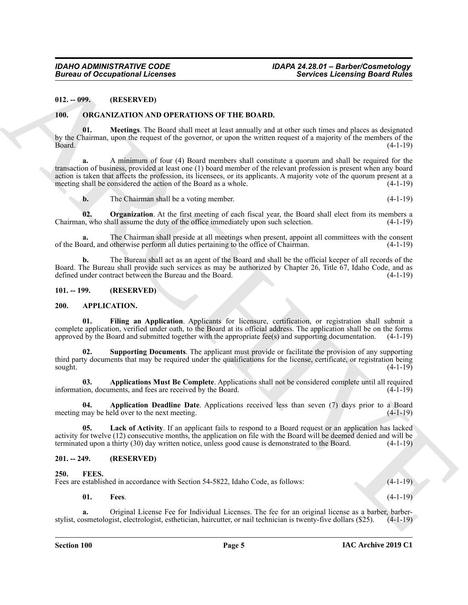#### <span id="page-4-0"></span>**012. -- 099. (RESERVED)**

#### <span id="page-4-14"></span><span id="page-4-13"></span><span id="page-4-1"></span>**100. ORGANIZATION AND OPERATIONS OF THE BOARD.**

**01. Meetings**. The Board shall meet at least annually and at other such times and places as designated by the Chairman, upon the request of the governor, or upon the written request of a majority of the members of the Board. (4-1-19)

Bureau of Occupational Licenses<br>
19.2. 99. The CHEMICATION OF THE BOARD.<br>
19. DESEMENTED (19. AND OPERATIONS OF THE BOARD.<br>
19. DESEMENTED AND OPERATIONS OF THE BOARD.<br>
19. DESEMENTED AND OPERATIONS OF THE BOARD.<br>
20. DES **a.** A minimum of four (4) Board members shall constitute a quorum and shall be required for the transaction of business, provided at least one (1) board member of the relevant profession is present when any board action is taken that affects the profession, its licensees, or its applicants. A majority vote of the quorum present at a meeting shall be considered the action of the Board as a whole. (4-1-19) meeting shall be considered the action of the Board as a whole.

<span id="page-4-15"></span>**b.** The Chairman shall be a voting member. (4-1-19)

**02. Organization**. At the first meeting of each fiscal year, the Board shall elect from its members a Chairman, who shall assume the duty of the office immediately upon such selection. (4-1-19)

**a.** The Chairman shall preside at all meetings when present, appoint all committees with the consent of the Board, and otherwise perform all duties pertaining to the office of Chairman. (4-1-19)

**b.** The Bureau shall act as an agent of the Board and shall be the official keeper of all records of the Board. The Bureau shall provide such services as may be authorized by Chapter 26, Title 67, Idaho Code, and as defined under contract between the Bureau and the Board. (4-1-19)

#### <span id="page-4-2"></span>**101. -- 199. (RESERVED)**

#### <span id="page-4-6"></span><span id="page-4-3"></span>**200. APPLICATION.**

<span id="page-4-9"></span>**01. Filing an Application**. Applicants for licensure, certification, or registration shall submit a complete application, verified under oath, to the Board at its official address. The application shall be on the forms approved by the Board and submitted together with the appropriate fee(s) and supporting documentation.  $(4-1-19)$ 

<span id="page-4-11"></span>**02. Supporting Documents**. The applicant must provide or facilitate the provision of any supporting third party documents that may be required under the qualifications for the license, certificate, or registration being<br>sought. (4-1-19)  $s$ ought.  $(4-1-19)$ 

<span id="page-4-8"></span>**03. Applications Must Be Complete**. Applications shall not be considered complete until all required ion, documents, and fees are received by the Board. (4-1-19) information, documents, and fees are received by the Board.

<span id="page-4-7"></span>**04. Application Deadline Date**. Applications received less than seven (7) days prior to a Board meeting may be held over to the next meeting. (4-1-19)

<span id="page-4-10"></span>**05. Lack of Activity**. If an applicant fails to respond to a Board request or an application has lacked activity for twelve (12) consecutive months, the application on file with the Board will be deemed denied and will be terminated upon a thirty (30) day written notice, unless good cause is demonstrated to the Board. (4-1-19)

#### <span id="page-4-4"></span>**201. -- 249. (RESERVED)**

#### <span id="page-4-12"></span><span id="page-4-5"></span>**250. FEES.**

Fees are established in accordance with Section 54-5822, Idaho Code, as follows: (4-1-19)

**01. Fees**. (4-1-19)

**a.** Original License Fee for Individual Licenses. The fee for an original license as a barber, barberstylist, cosmetologist, electrologist, esthetician, haircutter, or nail technician is twenty-five dollars (\$25). (4-1-19)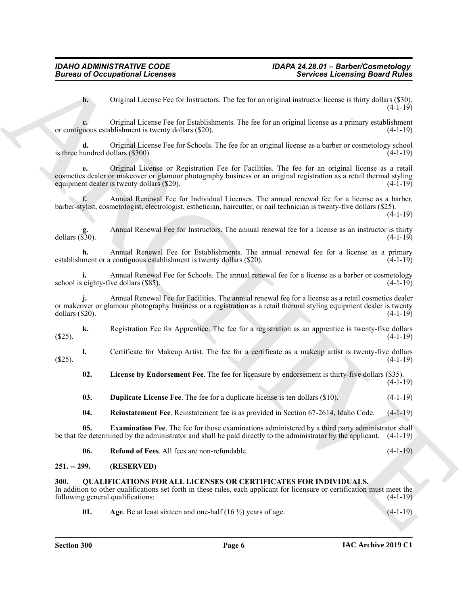**b.** Original License Fee for Instructors. The fee for an original instructor license is thirty dollars (\$30).  $(4-1-19)$ 

**c.** Original License Fee for Establishments. The fee for an original license as a primary establishment or contiguous establishment is twenty dollars (\$20). (4-1-19)

**d.** Original License Fee for Schools. The fee for an original license as a barber or cosmetology school is three hundred dollars  $(\$300)$ .  $(4-1-19)$ 

**e.** Original License or Registration Fee for Facilities. The fee for an original license as a retail cosmetics dealer or makeover or glamour photography business or an original registration as a retail thermal styling equipment dealer is twenty dollars (\$20).

**f.** Annual Renewal Fee for Individual Licenses. The annual renewal fee for a license as a barber, barber-stylist, cosmetologist, electrologist, esthetician, haircutter, or nail technician is twenty-five dollars (\$25).  $(4-1-19)$ 

**g.** Annual Renewal Fee for Instructors. The annual renewal fee for a license as an instructor is thirty dollars (\$30). dollars (\$30). (4-1-19)

**h.** Annual Renewal Fee for Establishments. The annual renewal fee for a license as a primary ment or a contiguous establishment is twenty dollars (\$20). establishment or a contiguous establishment is twenty dollars (\$20).

**i.** Annual Renewal Fee for Schools. The annual renewal fee for a license as a barber or cosmetology eighty-five dollars (\$85). school is eighty-five dollars (\$85).

**Bioreonial of Occupational Licenses**<br> **A.** Original License results and the contrast results and contrast results and the contrast results and the contrast results and the contrast results and the contrast of the contras **j.** Annual Renewal Fee for Facilities. The annual renewal fee for a license as a retail cosmetics dealer or makeover or glamour photography business or a registration as a retail thermal styling equipment dealer is twenty dollars (\$20). (4-1-19)

**k.** Registration Fee for Apprentice. The fee for a registration as an apprentice is twenty-five dollars  $(4-1-19)$  (4.1.19)

**l.** Certificate for Makeup Artist. The fee for a certificate as a makeup artist is twenty-five dollars  $(4-1-19)$  (4.1.19)

<span id="page-5-4"></span>**02. License by Endorsement Fee**. The fee for licensure by endorsement is thirty-five dollars (\$35).

<span id="page-5-2"></span>**03. Duplicate License Fee**. The fee for a duplicate license is ten dollars (\$10). (4-1-19)

<span id="page-5-6"></span><span id="page-5-5"></span><span id="page-5-3"></span>**04. Reinstatement Fee**. Reinstatement fee is as provided in Section 67-2614, Idaho Code. (4-1-19)

**05. Examination Fee**. The fee for those examinations administered by a third party administrator shall be that fee determined by the administrator and shall be paid directly to the administrator by the applicant. (4-1-19)

| 06. | <b>Refund of Fees.</b> All fees are non-refundable. |  |  |  |
|-----|-----------------------------------------------------|--|--|--|
|-----|-----------------------------------------------------|--|--|--|

#### <span id="page-5-0"></span>**251. -- 299. (RESERVED)**

#### <span id="page-5-7"></span><span id="page-5-1"></span>**300. QUALIFICATIONS FOR ALL LICENSES OR CERTIFICATES FOR INDIVIDUALS.**

In addition to other qualifications set forth in these rules, each applicant for licensure or certification must meet the following general qualifications: (4-1-19)

<span id="page-5-8"></span>**01.** Age. Be at least sixteen and one-half  $(16 \frac{1}{2})$  years of age.  $(4-1-19)$ 

 $(4-1-19)$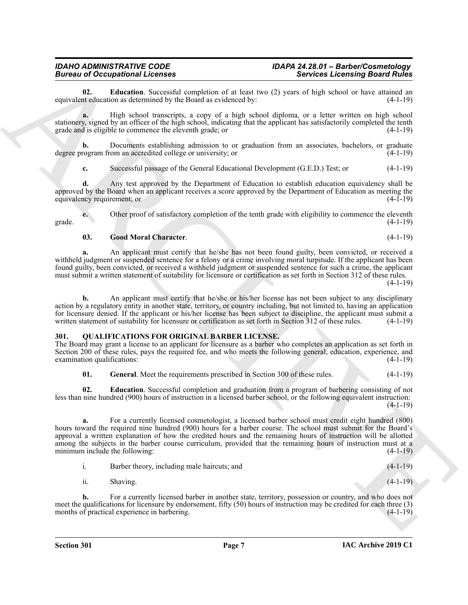<span id="page-6-1"></span>**02. Education**. Successful completion of at least two (2) years of high school or have attained an teducation as determined by the Board as evidenced by: (4-1-19) equivalent education as determined by the Board as evidenced by:

**a.** High school transcripts, a copy of a high school diploma, or a letter written on high school stationery, signed by an officer of the high school, indicating that the applicant has satisfactorily completed the tenth grade and is eligible to commence the eleventh grade; or (4-1-19)

**b.** Documents establishing admission to or graduation from an associates, bachelors, or graduate degree program from an accredited college or university; or  $(4-1-19)$ 

**c.** Successful passage of the General Educational Development (G.E.D.) Test; or (4-1-19)

**d.** Any test approved by the Department of Education to establish education equivalency shall be approved by the Board when an applicant receives a score approved by the Department of Education as meeting the equivalency requirement; or (4-1-19)

**e.** Other proof of satisfactory completion of the tenth grade with eligibility to commence the eleventh grade.  $(4-1-19)$ 

#### <span id="page-6-2"></span>**03. Good Moral Character**. (4-1-19)

**a.** An applicant must certify that he/she has not been found guilty, been convicted, or received a withheld judgment or suspended sentence for a felony or a crime involving moral turpitude. If the applicant has been found guilty, been convicted, or received a withheld judgment or suspended sentence for such a crime, the applicant must submit a written statement of suitability for licensure or certification as set forth in Section 312 of these rules.

 $(4-1-19)$ 

**b.** An applicant must certify that he/she or his/her license has not been subject to any disciplinary action by a regulatory entity in another state, territory, or country including, but not limited to, having an application for licensure denied. If the applicant or his/her license has been subject to discipline, the applicant must submit a written statement of suitability for licensure or certification as set forth in Section 312 of these rul written statement of suitability for licensure or certification as set forth in Section 312 of these rules.

#### <span id="page-6-3"></span><span id="page-6-0"></span>**301. QUALIFICATIONS FOR ORIGINAL BARBER LICENSE.**

The Board may grant a license to an applicant for licensure as a barber who completes an application as set forth in Section 200 of these rules, pays the required fee, and who meets the following general, education, experience, and examination qualifications: (4-1-19)

<span id="page-6-5"></span><span id="page-6-4"></span>**01.** General. Meet the requirements prescribed in Section 300 of these rules. (4-1-19)

**02. Education**. Successful completion and graduation from a program of barbering consisting of not less than nine hundred (900) hours of instruction in a licensed barber school, or the following equivalent instruction: (4-1-19)

Bureau and Comparisonnia Licenses<br>
Services Licensing Board Richts (m. 21 samel (m. 21 samel (m. 21 samel (m. 21 samel (m. 21 samel (m. 21 samel (m. 21 samel (m. 21 samel (m. 21 samel (m. 21 samel (m. 21 samel (m. 21 same **a.** For a currently licensed cosmetologist, a licensed barber school must credit eight hundred (800) hours toward the required nine hundred (900) hours for a barber course. The school must submit for the Board's approval a written explanation of how the credited hours and the remaining hours of instruction will be allotted among the subjects in the barber course curriculum, provided that the remaining hours of instruction must at a minimum include the following: (4-1-19)

|     | Barber theory, including male haircuts; and | $(4-1-19)$ |
|-----|---------------------------------------------|------------|
| ii. | Shaving.                                    | $(4-1-19)$ |

**b.** For a currently licensed barber in another state, territory, possession or country, and who does not meet the qualifications for licensure by endorsement, fifty (50) hours of instruction may be credited for each three (3) months of practical experience in barbering. (4-1-19)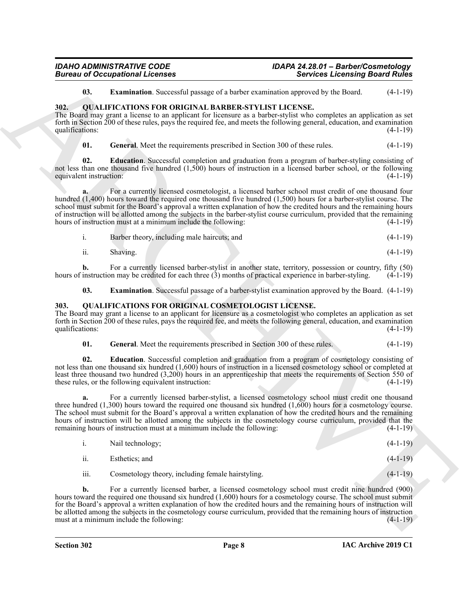#### *IDAHO ADMINISTRATIVE CODE IDAPA 24.28.01 – Barber/Cosmetology*  **Bureau of Occupational Licenses**

<span id="page-7-3"></span><span id="page-7-2"></span>**03. Examination**. Successful passage of a barber examination approved by the Board. (4-1-19)

#### <span id="page-7-0"></span>**302. QUALIFICATIONS FOR ORIGINAL BARBER-STYLIST LICENSE.**

The Board may grant a license to an applicant for licensure as a barber-stylist who completes an application as set forth in Section 200 of these rules, pays the required fee, and meets the following general, education, and examination qualifications:  $(4-1-19)$ 

<span id="page-7-6"></span><span id="page-7-4"></span>**01.** General. Meet the requirements prescribed in Section 300 of these rules.  $(4-1-19)$ 

**02. Education**. Successful completion and graduation from a program of barber-styling consisting of not less than one thousand five hundred (1,500) hours of instruction in a licensed barber school, or the following equivalent instruction: (4-1-19)

**a.** For a currently licensed cosmetologist, a licensed barber school must credit of one thousand four hundred (1,400) hours toward the required one thousand five hundred (1,500) hours for a barber-stylist course. The school must submit for the Board's approval a written explanation of how the credited hours and the remaining hours of instruction will be allotted among the subjects in the barber-stylist course curriculum, provided that the remaining hours of instruction must at a minimum include the following: (4-1-19)

| Barber theory, including male haircuts; and | $(4-1-19)$ |
|---------------------------------------------|------------|
|                                             |            |

ii. Shaving. (4-1-19)

**b.** For a currently licensed barber-stylist in another state, territory, possession or country, fifty (50) hours of instruction may be credited for each three  $(3)$  months of practical experience in barber-styling.  $(4-1-19)$ 

<span id="page-7-7"></span><span id="page-7-5"></span>**03. Examination**. Successful passage of a barber-stylist examination approved by the Board. (4-1-19)

#### <span id="page-7-1"></span>**303. QUALIFICATIONS FOR ORIGINAL COSMETOLOGIST LICENSE.**

The Board may grant a license to an applicant for licensure as a cosmetologist who completes an application as set forth in Section 200 of these rules, pays the required fee, and meets the following general, education, and examination qualifications: (4-1-19)

<span id="page-7-9"></span><span id="page-7-8"></span>

| <b>General.</b> Meet the requirements prescribed in Section 300 of these rules.<br>01.<br>$(4-1-19)$ |
|------------------------------------------------------------------------------------------------------|
|------------------------------------------------------------------------------------------------------|

**02. Education**. Successful completion and graduation from a program of cosmetology consisting of not less than one thousand six hundred (1,600) hours of instruction in a licensed cosmetology school or completed at least three thousand two hundred (3,200) hours in an apprenticeship that meets the requirements of Section 550 of these rules, or the following equivalent instruction: (4-1-19)

ARCHIVE **a.** For a currently licensed barber-stylist, a licensed cosmetology school must credit one thousand three hundred (1,300) hours toward the required one thousand six hundred (1,600) hours for a cosmetology course. The school must submit for the Board's approval a written explanation of how the credited hours and the remaining hours of instruction will be allotted among the subjects in the cosmetology course curriculum, provided that the remaining hours of instruction must at a minimum include the following: (4-1-19)

|      | Nail technology;                                  | $(4-1-19)$ |
|------|---------------------------------------------------|------------|
| ii.  | Esthetics: and                                    | $(4-1-19)$ |
| iii. | Cosmetology theory, including female hairstyling. | $(4-1-19)$ |

**b.** For a currently licensed barber, a licensed cosmetology school must credit nine hundred (900) hours toward the required one thousand six hundred (1,600) hours for a cosmetology course. The school must submit for the Board's approval a written explanation of how the credited hours and the remaining hours of instruction will be allotted among the subjects in the cosmetology course curriculum, provided that the remaining hours of instruction must at a minimum include the following: (4-1-19) (4-1-19)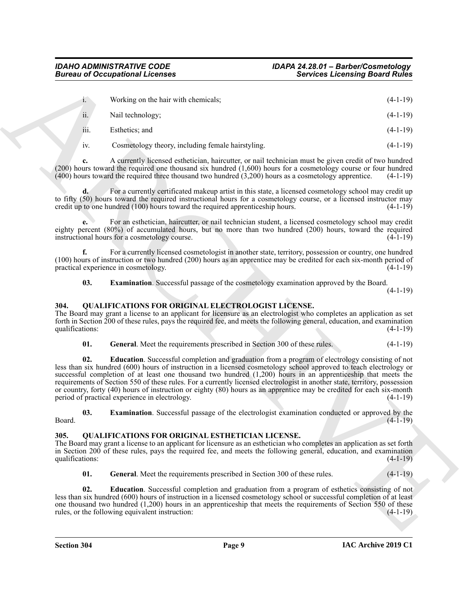|                         | <b>Bureau of Occupational Licenses</b>                                                                                                                                                                                                                                                                                                                                                                                                                                                                                                                                                                                                                  | <b>Services Licensing Board Rules</b> |
|-------------------------|---------------------------------------------------------------------------------------------------------------------------------------------------------------------------------------------------------------------------------------------------------------------------------------------------------------------------------------------------------------------------------------------------------------------------------------------------------------------------------------------------------------------------------------------------------------------------------------------------------------------------------------------------------|---------------------------------------|
| 1.                      | Working on the hair with chemicals;                                                                                                                                                                                                                                                                                                                                                                                                                                                                                                                                                                                                                     | $(4-1-19)$                            |
| ii.                     | Nail technology;                                                                                                                                                                                                                                                                                                                                                                                                                                                                                                                                                                                                                                        | $(4-1-19)$                            |
| 111.                    | Esthetics; and                                                                                                                                                                                                                                                                                                                                                                                                                                                                                                                                                                                                                                          | $(4-1-19)$                            |
| 1V.                     | Cosmetology theory, including female hairstyling.                                                                                                                                                                                                                                                                                                                                                                                                                                                                                                                                                                                                       | $(4-1-19)$                            |
| c.                      | A currently licensed esthetician, haircutter, or nail technician must be given credit of two hundred<br>$(200)$ hours toward the required one thousand six hundred $(1,600)$ hours for a cosmetology course or four hundred<br>$(400)$ hours toward the required three thousand two hundred $(3,200)$ hours as a cosmetology apprentice.                                                                                                                                                                                                                                                                                                                | $(4-1-19)$                            |
| $\mathbf{d}$ .          | For a currently certificated makeup artist in this state, a licensed cosmetology school may credit up<br>to fifty (50) hours toward the required instructional hours for a cosmetology course, or a licensed instructor may<br>credit up to one hundred (100) hours toward the required apprenticeship hours.                                                                                                                                                                                                                                                                                                                                           | $(4-1-19)$                            |
| e.                      | For an esthetician, haircutter, or nail technician student, a licensed cosmetology school may credit<br>eighty percent (80%) of accumulated hours, but no more than two hundred (200) hours, toward the required<br>instructional hours for a cosmetology course.                                                                                                                                                                                                                                                                                                                                                                                       | $(4-1-19)$                            |
| f.                      | For a currently licensed cosmetologist in another state, territory, possession or country, one hundred<br>(100) hours of instruction or two hundred (200) hours as an apprentice may be credited for each six-month period of<br>practical experience in cosmetology.                                                                                                                                                                                                                                                                                                                                                                                   | $(4-1-19)$                            |
| 03.                     | <b>Examination</b> . Successful passage of the cosmetology examination approved by the Board.                                                                                                                                                                                                                                                                                                                                                                                                                                                                                                                                                           | $(4-1-19)$                            |
| 304.<br>qualifications: | QUALIFICATIONS FOR ORIGINAL ELECTROLOGIST LICENSE.<br>The Board may grant a license to an applicant for licensure as an electrologist who completes an application as set<br>forth in Section 200 of these rules, pays the required fee, and meets the following general, education, and examination                                                                                                                                                                                                                                                                                                                                                    | $(4-1-19)$                            |
| 01.                     | General. Meet the requirements prescribed in Section 300 of these rules.                                                                                                                                                                                                                                                                                                                                                                                                                                                                                                                                                                                | $(4-1-19)$                            |
| 02.                     | <b>Education</b> . Successful completion and graduation from a program of electrology consisting of not<br>less than six hundred (600) hours of instruction in a licensed cosmetology school approved to teach electrology or<br>successful completion of at least one thousand two hundred $(1,200)$ hours in an apprenticeship that meets the<br>requirements of Section 550 of these rules. For a currently licensed electrologist in another state, territory, possession<br>or country, forty (40) hours of instruction or eighty (80) hours as an apprentice may be credited for each six-month<br>period of practical experience in electrology. | $(4-1-19)$                            |
| 03.<br>Board.           | <b>Examination</b> . Successful passage of the electrologist examination conducted or approved by the                                                                                                                                                                                                                                                                                                                                                                                                                                                                                                                                                   | $(4-1-19)$                            |
| 305.<br>qualifications: | <b>QUALIFICATIONS FOR ORIGINAL ESTHETICIAN LICENSE.</b><br>The Board may grant a license to an applicant for licensure as an esthetician who completes an application as set forth<br>in Section 200 of these rules, pays the required fee, and meets the following general, education, and examination                                                                                                                                                                                                                                                                                                                                                 | $(4-1-19)$                            |
| 01.                     | General. Meet the requirements prescribed in Section 300 of these rules.                                                                                                                                                                                                                                                                                                                                                                                                                                                                                                                                                                                | $(4-1-19)$                            |
| 02.                     | <b>Education</b> . Successful completion and graduation from a program of esthetics consisting of not                                                                                                                                                                                                                                                                                                                                                                                                                                                                                                                                                   |                                       |
|                         | less than six hundred (600) hours of instruction in a licensed cosmetology school or successful completion of at least<br>one thousand two hundred (1,200) hours in an apprenticeship that meets the requirements of Section 550 of these<br>rules, or the following equivalent instruction:                                                                                                                                                                                                                                                                                                                                                            | $(4-1-19)$                            |

#### <span id="page-8-3"></span><span id="page-8-2"></span><span id="page-8-0"></span>**304. QUALIFICATIONS FOR ORIGINAL ELECTROLOGIST LICENSE.**

<span id="page-8-6"></span><span id="page-8-4"></span>

#### <span id="page-8-9"></span><span id="page-8-8"></span><span id="page-8-7"></span><span id="page-8-5"></span><span id="page-8-1"></span>**305. QUALIFICATIONS FOR ORIGINAL ESTHETICIAN LICENSE.**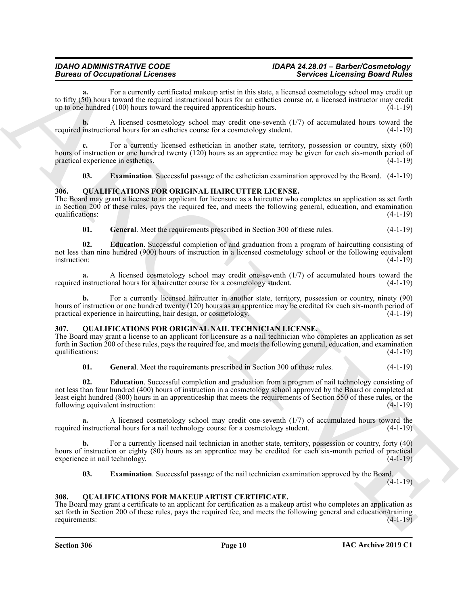### *IDAHO ADMINISTRATIVE CODE IDAPA 24.28.01 – Barber/Cosmetology*

For a currently certificated makeup artist in this state, a licensed cosmetology school may credit up to fifty (50) hours toward the required instructional hours for an esthetics course or, a licensed instructor may credit up to one hundred (100) hours toward the required apprenticeship hours. (4-1-19)

**b.** A licensed cosmetology school may credit one-seventh (1/7) of accumulated hours toward the required instructional hours for an esthetics course for a cosmetology student. (4-1-19)

**c.** For a currently licensed esthetician in another state, territory, possession or country, sixty (60) hours of instruction or one hundred twenty (120) hours as an apprentice may be given for each six-month period of practical experience in esthetics. (4-1-19)

<span id="page-9-5"></span><span id="page-9-4"></span>**03. Examination**. Successful passage of the esthetician examination approved by the Board. (4-1-19)

#### <span id="page-9-0"></span>**306. QUALIFICATIONS FOR ORIGINAL HAIRCUTTER LICENSE.**

The Board may grant a license to an applicant for licensure as a haircutter who completes an application as set forth in Section 200 of these rules, pays the required fee, and meets the following general, education, and examination qualifications:

<span id="page-9-7"></span><span id="page-9-6"></span>**01.** General. Meet the requirements prescribed in Section 300 of these rules.  $(4-1-19)$ 

**02. Education**. Successful completion of and graduation from a program of haircutting consisting of not less than nine hundred (900) hours of instruction in a licensed cosmetology school or the following equivalent instruction: (4-1-19) instruction: (4-1-19)

**a.** A licensed cosmetology school may credit one-seventh (1/7) of accumulated hours toward the instructional hours for a haircutter course for a cosmetology student. (4-1-19) required instructional hours for a haircutter course for a cosmetology student.

For a currently licensed haircutter in another state, territory, possession or country, ninety (90) hours of instruction or one hundred twenty (120) hours as an apprentice may be credited for each six-month period of practical experience in haircutting, hair design, or cosmetology. (4-1-19)

#### <span id="page-9-8"></span><span id="page-9-1"></span>**307. QUALIFICATIONS FOR ORIGINAL NAIL TECHNICIAN LICENSE.**

The Board may grant a license to an applicant for licensure as a nail technician who completes an application as set forth in Section 200 of these rules, pays the required fee, and meets the following general, education, and examination qualifications:

<span id="page-9-11"></span><span id="page-9-9"></span>**01.** General. Meet the requirements prescribed in Section 300 of these rules. (4-1-19)

Bureau of Occupation and Constraints and the state of the state of the state of the state of the state of the state of the state of the state of the state of the state of the state of the state of the state of the state o **02. Education**. Successful completion and graduation from a program of nail technology consisting of not less than four hundred (400) hours of instruction in a cosmetology school approved by the Board or completed at least eight hundred (800) hours in an apprenticeship that meets the requirements of Section 550 of these rules, or the following equivalent instruction: (4-1-19)

**a.** A licensed cosmetology school may credit one-seventh (1/7) of accumulated hours toward the required instructional hours for a nail technology course for a cosmetology student. (4-1-19)

**b.** For a currently licensed nail technician in another state, territory, possession or country, forty (40) hours of instruction or eighty (80) hours as an apprentice may be credited for each six-month period of practical experience in nail technology. (4-1-19) experience in nail technology.

<span id="page-9-10"></span><span id="page-9-3"></span>**03. Examination**. Successful passage of the nail technician examination approved by the Board.

(4-1-19)

#### <span id="page-9-2"></span>**308. QUALIFICATIONS FOR MAKEUP ARTIST CERTIFICATE.**

The Board may grant a certificate to an applicant for certification as a makeup artist who completes an application as set forth in Section 200 of these rules, pays the required fee, and meets the following general and education/training requirements: (4-1-19)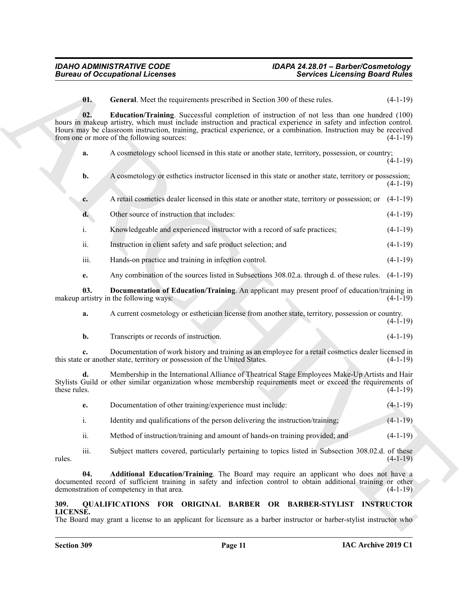<span id="page-10-5"></span><span id="page-10-4"></span><span id="page-10-3"></span><span id="page-10-2"></span><span id="page-10-1"></span><span id="page-10-0"></span>

|                    | <b>Bureau of Occupational Licenses</b>                                          | <b>Services Licensing Board Rules</b>                                                                                                                                                                                                                                                                                                         |            |
|--------------------|---------------------------------------------------------------------------------|-----------------------------------------------------------------------------------------------------------------------------------------------------------------------------------------------------------------------------------------------------------------------------------------------------------------------------------------------|------------|
|                    | 01.<br>General. Meet the requirements prescribed in Section 300 of these rules. |                                                                                                                                                                                                                                                                                                                                               | $(4-1-19)$ |
|                    | 02.<br>from one or more of the following sources:                               | <b>Education/Training.</b> Successful completion of instruction of not less than one hundred (100)<br>hours in makeup artistry, which must include instruction and practical experience in safety and infection control.<br>Hours may be classroom instruction, training, practical experience, or a combination. Instruction may be received | $(4-1-19)$ |
| a.                 |                                                                                 | A cosmetology school licensed in this state or another state, territory, possession, or country;                                                                                                                                                                                                                                              | $(4-1-19)$ |
| b.                 |                                                                                 | A cosmetology or esthetics instructor licensed in this state or another state, territory or possession;                                                                                                                                                                                                                                       | $(4-1-19)$ |
| c.                 |                                                                                 | A retail cosmetics dealer licensed in this state or another state, territory or possession; or                                                                                                                                                                                                                                                | $(4-1-19)$ |
| d.                 | Other source of instruction that includes:                                      |                                                                                                                                                                                                                                                                                                                                               | $(4-1-19)$ |
| i.                 | Knowledgeable and experienced instructor with a record of safe practices;       |                                                                                                                                                                                                                                                                                                                                               | $(4-1-19)$ |
| ii.                | Instruction in client safety and safe product selection; and                    |                                                                                                                                                                                                                                                                                                                                               | $(4-1-19)$ |
| iii.               | Hands-on practice and training in infection control.                            |                                                                                                                                                                                                                                                                                                                                               | $(4-1-19)$ |
| e.                 |                                                                                 | Any combination of the sources listed in Subsections 308.02.a. through d. of these rules. (4-1-19)                                                                                                                                                                                                                                            |            |
|                    | 03.<br>makeup artistry in the following ways:                                   | Documentation of Education/Training. An applicant may present proof of education/training in                                                                                                                                                                                                                                                  | $(4-1-19)$ |
| a.                 |                                                                                 | A current cosmetology or esthetician license from another state, territory, possession or country.                                                                                                                                                                                                                                            | $(4-1-19)$ |
| b.                 | Transcripts or records of instruction.                                          |                                                                                                                                                                                                                                                                                                                                               | $(4-1-19)$ |
| c.                 | this state or another state, territory or possession of the United States.      | Documentation of work history and training as an employee for a retail cosmetics dealer licensed in                                                                                                                                                                                                                                           | $(4-1-19)$ |
| d.<br>these rules. |                                                                                 | Membership in the International Alliance of Theatrical Stage Employees Make-Up Artists and Hair<br>Stylists Guild or other similar organization whose membership requirements meet or exceed the requirements of                                                                                                                              | $(4-1-19)$ |
| e.                 | Documentation of other training/experience must include:                        |                                                                                                                                                                                                                                                                                                                                               | $(4-1-19)$ |
| $\mathbf{i}$ .     |                                                                                 | Identity and qualifications of the person delivering the instruction/training;                                                                                                                                                                                                                                                                | $(4-1-19)$ |
| ii.                |                                                                                 | Method of instruction/training and amount of hands-on training provided; and                                                                                                                                                                                                                                                                  | $(4-1-19)$ |
| iii.<br>rules.     |                                                                                 | Subject matters covered, particularly pertaining to topics listed in Subsection 308.02.d. of these                                                                                                                                                                                                                                            | $(4-1-19)$ |
|                    | 04.<br>demonstration of competency in that area.                                | Additional Education/Training. The Board may require an applicant who does not have a<br>documented record of sufficient training in safety and infection control to obtain additional training or other                                                                                                                                      | $(4-1-19)$ |
| 309.               |                                                                                 | QUALIFICATIONS FOR ORIGINAL BARBER OR BARBER-STYLIST INSTRUCTOR                                                                                                                                                                                                                                                                               |            |
| LICENSE.           |                                                                                 | The Board may grant a license to an applicant for licensure as a barber instructor or barber-stylist instructor who                                                                                                                                                                                                                           |            |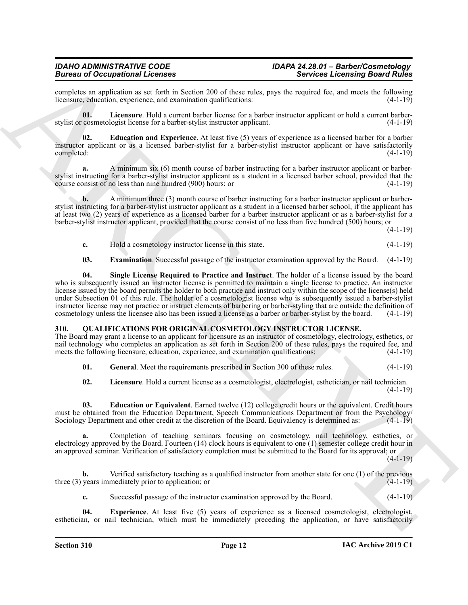completes an application as set forth in Section 200 of these rules, pays the required fee, and meets the following licensure, education, experience, and examination qualifications: (4-1-19) licensure, education, experience, and examination qualifications:

<span id="page-11-3"></span>**01. Licensure**. Hold a current barber license for a barber instructor applicant or hold a current barberstylist or cosmetologist license for a barber-stylist instructor applicant. (4-1-19)

<span id="page-11-1"></span>**02. Education and Experience**. At least five (5) years of experience as a licensed barber for a barber instructor applicant or as a licensed barber-stylist for a barber-stylist instructor applicant or have satisfactorily completed: (4-1-19)

**a.** A minimum six (6) month course of barber instructing for a barber instructor applicant or barberstylist instructing for a barber-stylist instructor applicant as a student in a licensed barber school, provided that the course consist of no less than nine hundred (900) hours; or course consist of no less than nine hundred  $(900)$  hours; or

**b.** A minimum three (3) month course of barber instructing for a barber instructor applicant or barberstylist instructing for a barber-stylist instructor applicant as a student in a licensed barber school, if the applicant has at least two (2) years of experience as a licensed barber for a barber instructor applicant or as a barber-stylist for a barber-stylist instructor applicant, provided that the course consist of no less than five hundred (500) hours; or

 $(4-1-19)$ 

**c.** Hold a cosmetology instructor license in this state.  $(4-1-19)$ 

<span id="page-11-4"></span><span id="page-11-2"></span>**03. Examination**. Successful passage of the instructor examination approved by the Board. (4-1-19)

Because of Cocapacitorium Licensins and Controlline and the state of Sevices Lechtning Bear Philip Section 1981<br>
Action 1981 (and the state of the state of the state of the state of the state of the state of the state of **04. Single License Required to Practice and Instruct**. The holder of a license issued by the board who is subsequently issued an instructor license is permitted to maintain a single license to practice. An instructor license issued by the board permits the holder to both practice and instruct only within the scope of the license(s) held under Subsection 01 of this rule. The holder of a cosmetologist license who is subsequently issued a barber-stylist instructor license may not practice or instruct elements of barbering or barber-styling that are outside the definition of cosmetology unless the licensee also has been issued a license as a barber or barber-stylist by the board. (4-1-19)

#### <span id="page-11-5"></span><span id="page-11-0"></span>**310. QUALIFICATIONS FOR ORIGINAL COSMETOLOGY INSTRUCTOR LICENSE.**

The Board may grant a license to an applicant for licensure as an instructor of cosmetology, electrology, esthetics, or nail technology who completes an application as set forth in Section 200 of these rules, pays the required fee, and meets the following licensure, education, experience, and examination qualifications: (4-1-19) meets the following licensure, education, experience, and examination qualifications:

<span id="page-11-8"></span>**01.** General. Meet the requirements prescribed in Section 300 of these rules. (4-1-19)

<span id="page-11-9"></span><span id="page-11-6"></span>**02. Licensure**. Hold a current license as a cosmetologist, electrologist, esthetician, or nail technician. (4-1-19)

**03. Education or Equivalent**. Earned twelve (12) college credit hours or the equivalent. Credit hours must be obtained from the Education Department, Speech Communications Department or from the Psychology/<br>Sociology Department and other credit at the discretion of the Board. Equivalency is determined as: (4-1-19) Sociology Department and other credit at the discretion of the Board. Equivalency is determined as:

**a.** Completion of teaching seminars focusing on cosmetology, nail technology, esthetics, or electrology approved by the Board. Fourteen (14) clock hours is equivalent to one (1) semester college credit hour in an approved seminar. Verification of satisfactory completion must be submitted to the Board for its approval; or

 $(4-1-19)$ 

**b.** Verified satisfactory teaching as a qualified instructor from another state for one (1) of the previous three (3) years immediately prior to application; or (4-1-19)

<span id="page-11-7"></span>**c.** Successful passage of the instructor examination approved by the Board. (4-1-19)

**04. Experience**. At least five (5) years of experience as a licensed cosmetologist, electrologist, esthetician, or nail technician, which must be immediately preceding the application, or have satisfactorily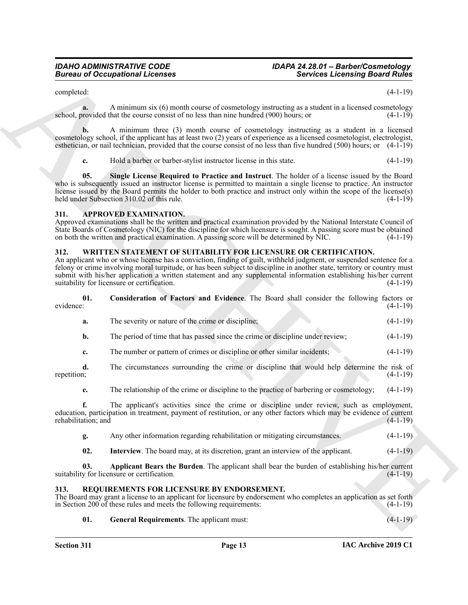### *IDAHO ADMINISTRATIVE CODE IDAPA 24.28.01 – Barber/Cosmetology*

#### <span id="page-12-4"></span><span id="page-12-3"></span><span id="page-12-0"></span>**311. APPROVED EXAMINATION.**

#### <span id="page-12-9"></span><span id="page-12-7"></span><span id="page-12-1"></span>**312. WRITTEN STATEMENT OF SUITABILITY FOR LICENSURE OR CERTIFICATION.**

|                           | <b>Bureau of Occupational Licenses</b>                                                                                                                                                                                                                                                                                                                                                                                                                                                   | <b>Services Licensing Board Rules</b> |
|---------------------------|------------------------------------------------------------------------------------------------------------------------------------------------------------------------------------------------------------------------------------------------------------------------------------------------------------------------------------------------------------------------------------------------------------------------------------------------------------------------------------------|---------------------------------------|
| completed:                |                                                                                                                                                                                                                                                                                                                                                                                                                                                                                          | $(4-1-19)$                            |
| a.                        | A minimum six (6) month course of cosmetology instructing as a student in a licensed cosmetology<br>school, provided that the course consist of no less than nine hundred (900) hours; or                                                                                                                                                                                                                                                                                                | $(4-1-19)$                            |
|                           | A minimum three (3) month course of cosmetology instructing as a student in a licensed<br>cosmetology school, if the applicant has at least two (2) years of experience as a licensed cosmetologist, electrologist,<br>esthetician, or nail technician, provided that the course consist of no less than five hundred $(500)$ hours; or $(4-1-19)$                                                                                                                                       |                                       |
| c.                        | Hold a barber or barber-stylist instructor license in this state.                                                                                                                                                                                                                                                                                                                                                                                                                        | $(4-1-19)$                            |
| 05.                       | Single License Required to Practice and Instruct. The holder of a license issued by the Board<br>who is subsequently issued an instructor license is permitted to maintain a single license to practice. An instructor<br>license issued by the Board permits the holder to both practice and instruct only within the scope of the license(s)<br>held under Subsection 310.02 of this rule.                                                                                             | $(4-1-19)$                            |
| 311.                      | <b>APPROVED EXAMINATION.</b><br>Approved examinations shall be the written and practical examination provided by the National Interstate Council of<br>State Boards of Cosmetology (NIC) for the discipline for which licensure is sought. A passing score must be obtained<br>on both the written and practical examination. A passing score will be determined by NIC.                                                                                                                 | $(4-1-19)$                            |
| 312.                      | WRITTEN STATEMENT OF SUITABILITY FOR LICENSURE OR CERTIFICATION.<br>An applicant who or whose license has a conviction, finding of guilt, withheld judgment, or suspended sentence for a<br>felony or crime involving moral turpitude, or has been subject to discipline in another state, territory or country must<br>submit with his/her application a written statement and any supplemental information establishing his/her current<br>suitability for licensure or certification. | $(4-1-19)$                            |
| 01.<br>evidence:          | Consideration of Factors and Evidence. The Board shall consider the following factors or                                                                                                                                                                                                                                                                                                                                                                                                 | $(4-1-19)$                            |
| a.                        | The severity or nature of the crime or discipline;                                                                                                                                                                                                                                                                                                                                                                                                                                       | $(4-1-19)$                            |
| b.                        | The period of time that has passed since the crime or discipline under review;                                                                                                                                                                                                                                                                                                                                                                                                           | $(4-1-19)$                            |
| c.                        | The number or pattern of crimes or discipline or other similar incidents;                                                                                                                                                                                                                                                                                                                                                                                                                | $(4-1-19)$                            |
| d.<br>repetition;         | The circumstances surrounding the crime or discipline that would help determine the risk of                                                                                                                                                                                                                                                                                                                                                                                              | $(4-1-19)$                            |
| e.                        | The relationship of the crime or discipline to the practice of barbering or cosmetology;                                                                                                                                                                                                                                                                                                                                                                                                 | $(4-1-19)$                            |
| f.<br>rehabilitation; and | The applicant's activities since the crime or discipline under review, such as employment,<br>education, participation in treatment, payment of restitution, or any other factors which may be evidence of current                                                                                                                                                                                                                                                                       | $(4-1-19)$                            |
| g.                        | Any other information regarding rehabilitation or mitigating circumstances.                                                                                                                                                                                                                                                                                                                                                                                                              | $(4-1-19)$                            |
| 02.                       | Interview. The board may, at its discretion, grant an interview of the applicant.                                                                                                                                                                                                                                                                                                                                                                                                        | $(4-1-19)$                            |
| 03.                       | Applicant Bears the Burden. The applicant shall bear the burden of establishing his/her current<br>suitability for licensure or certification.                                                                                                                                                                                                                                                                                                                                           | $(4-1-19)$                            |
| 313.                      | REQUIREMENTS FOR LICENSURE BY ENDORSEMENT.<br>The Board may grant a license to an applicant for licensure by endorsement who completes an application as set forth<br>in Section 200 of these rules and meets the following requirements:                                                                                                                                                                                                                                                | $(4-1-19)$                            |
|                           |                                                                                                                                                                                                                                                                                                                                                                                                                                                                                          |                                       |

#### <span id="page-12-10"></span><span id="page-12-8"></span><span id="page-12-5"></span><span id="page-12-2"></span>**313. REQUIREMENTS FOR LICENSURE BY ENDORSEMENT.**

#### <span id="page-12-6"></span>**01. General Requirements**. The applicant must: (4-1-19)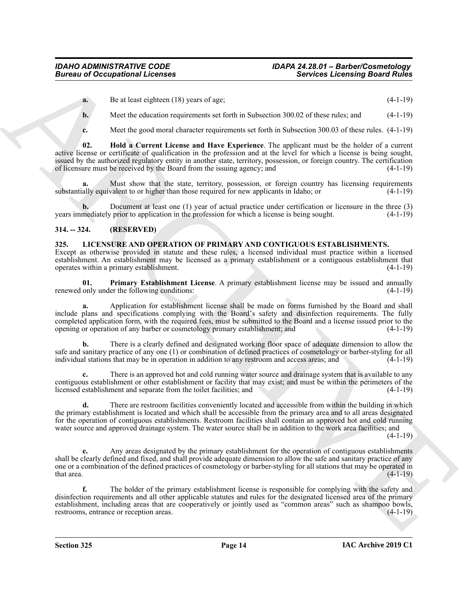- **a.** Be at least eighteen (18) years of age; (4-1-19)
- **b.** Meet the education requirements set forth in Subsection 300.02 of these rules; and  $(4-1-19)$
- <span id="page-13-4"></span>**c.** Meet the good moral character requirements set forth in Subsection 300.03 of these rules.  $(4-1-19)$

**02. Hold a Current License and Have Experience**. The applicant must be the holder of a current active license or certificate of qualification in the profession and at the level for which a license is being sought, issued by the authorized regulatory entity in another state, territory, possession, or foreign country. The certification of licensure must be received by the Board from the issuing agency; and (4-1-19)

**a.** Must show that the state, territory, possession, or foreign country has licensing requirements substantially equivalent to or higher than those required for new applicants in Idaho; or (4-1-19)

**b.** Document at least one (1) year of actual practice under certification or licensure in the three (3) mediately prior to application in the profession for which a license is being sought. (4-1-19) years immediately prior to application in the profession for which a license is being sought.

#### <span id="page-13-0"></span>**314. -- 324. (RESERVED)**

#### <span id="page-13-2"></span><span id="page-13-1"></span>**325. LICENSURE AND OPERATION OF PRIMARY AND CONTIGUOUS ESTABLISHMENTS.** Except as otherwise provided in statute and these rules, a licensed individual must practice within a licensed establishment. An establishment may be licensed as a primary establishment or a contiguous establishment that operates within a primary establishment. (4-1-19)

<span id="page-13-3"></span>**01. Primary Establishment License**. A primary establishment license may be issued and annually renewed only under the following conditions: (4-1-19)

Bureau of Occupational Licenses<br>
Bureau of the state control of the state state and the state state and the state of the state of the state of the state of the state of the state of the state of the state of the state of **a.** Application for establishment license shall be made on forms furnished by the Board and shall include plans and specifications complying with the Board's safety and disinfection requirements. The fully completed application form, with the required fees, must be submitted to the Board and a license issued prior to the opening or operation of any barber or cosmetology primary establishment; and (4-1-19)

**b.** There is a clearly defined and designated working floor space of adequate dimension to allow the safe and sanitary practice of any one (1) or combination of defined practices of cosmetology or barber-styling for all individual stations that may be in operation in addition to any restroom and access areas; and (4-1-19)

**c.** There is an approved hot and cold running water source and drainage system that is available to any contiguous establishment or other establishment or facility that may exist; and must be within the perimeters of the licensed establishment and separate from the toilet facilities; and (4-1-19) licensed establishment and separate from the toilet facilities; and

**d.** There are restroom facilities conveniently located and accessible from within the building in which the primary establishment is located and which shall be accessible from the primary area and to all areas designated for the operation of contiguous establishments. Restroom facilities shall contain an approved hot and cold running water source and approved drainage system. The water source shall be in addition to the work area facilities; and

 $(4-1-19)$ 

**e.** Any areas designated by the primary establishment for the operation of contiguous establishments shall be clearly defined and fixed, and shall provide adequate dimension to allow the safe and sanitary practice of any one or a combination of the defined practices of cosmetology or barber-styling for all stations that may be operated in that area.  $(4-1-19)$ 

**f.** The holder of the primary establishment license is responsible for complying with the safety and disinfection requirements and all other applicable statutes and rules for the designated licensed area of the primary establishment, including areas that are cooperatively or jointly used as "common areas" such as shampoo bowls, restrooms, entrance or reception areas. (4-1-19)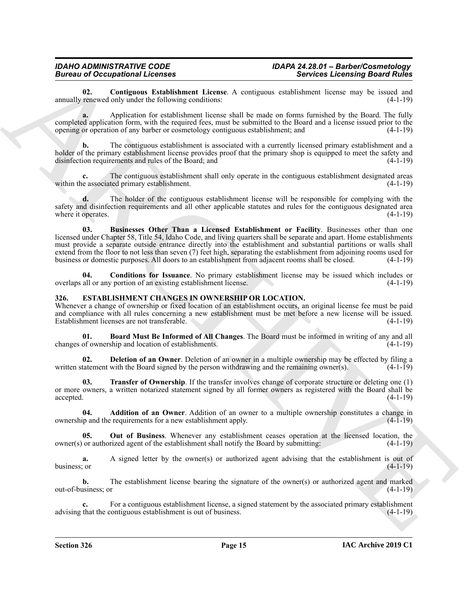<span id="page-14-9"></span>**02.** Contiguous Establishment License. A contiguous establishment license may be issued and renewed only under the following conditions: (4-1-19) annually renewed only under the following conditions:

**a.** Application for establishment license shall be made on forms furnished by the Board. The fully completed application form, with the required fees, must be submitted to the Board and a license issued prior to the opening or operation of any barber or cosmetology contiguous establishment; and (4-1-19)

**b.** The contiguous establishment is associated with a currently licensed primary establishment and a holder of the primary establishment license provides proof that the primary shop is equipped to meet the safety and disinfection requirements and rules of the Board; and (4-1-19)

**c.** The contiguous establishment shall only operate in the contiguous establishment designated areas e associated primary establishment. within the associated primary establishment.

<span id="page-14-7"></span>**d.** The holder of the contiguous establishment license will be responsible for complying with the safety and disinfection requirements and all other applicable statutes and rules for the contiguous designated area<br>(4-1-19) (4-1-19) where it operates.

Biomass of Company in Liebands<br>
Services Lebaning Services Lebaning Services Lebaning Services Lebaning Services Lebaning Services (1998)<br>
Application Revisions Services Architectures (Architecture Services Company in Lie **03. Businesses Other Than a Licensed Establishment or Facility**. Businesses other than one licensed under Chapter 58, Title 54, Idaho Code, and living quarters shall be separate and apart. Home establishments must provide a separate outside entrance directly into the establishment and substantial partitions or walls shall extend from the floor to not less than seven (7) feet high, separating the establishment from adjoining rooms used for business or domestic purposes. All doors to an establishment from adjacent rooms shall be closed. (4-1-19)

<span id="page-14-8"></span>**04. Conditions for Issuance**. No primary establishment license may be issued which includes or all or any portion of an existing establishment license. (4-1-19) overlaps all or any portion of an existing establishment license.

#### <span id="page-14-1"></span><span id="page-14-0"></span>**326. ESTABLISHMENT CHANGES IN OWNERSHIP OR LOCATION.**

Whenever a change of ownership or fixed location of an establishment occurs, an original license fee must be paid and compliance with all rules concerning a new establishment must be met before a new license will be issued. Establishment licenses are not transferable. (4-1-19)

<span id="page-14-3"></span>**01. Board Must Be Informed of All Changes**. The Board must be informed in writing of any and all changes of ownership and location of establishments. (4-1-19)

<span id="page-14-4"></span>**02. Deletion of an Owner**. Deletion of an owner in a multiple ownership may be effected by filing a tatement with the Board signed by the person withdrawing and the remaining owner(s). (4-1-19) written statement with the Board signed by the person withdrawing and the remaining owner(s).

<span id="page-14-6"></span>**03. Transfer of Ownership**. If the transfer involves change of corporate structure or deleting one (1) or more owners, a written notarized statement signed by all former owners as registered with the Board shall be accepted. (4-1-19)

<span id="page-14-2"></span>**04. Addition of an Owner**. Addition of an owner to a multiple ownership constitutes a change in ownership and the requirements for a new establishment apply. (4-1-19)

<span id="page-14-5"></span>**05. Out of Business**. Whenever any establishment ceases operation at the licensed location, the owner(s) or authorized agent of the establishment shall notify the Board by submitting: (4-1-19)

**a.** A signed letter by the owner(s) or authorized agent advising that the establishment is out of business; or (4-1-19) business; or  $(4-1-19)$ 

**b.** The establishment license bearing the signature of the owner(s) or authorized agent and marked out-of-business; or (4-1-19)

**c.** For a contiguous establishment license, a signed statement by the associated primary establishment advising that the contiguous establishment is out of business. (4-1-19)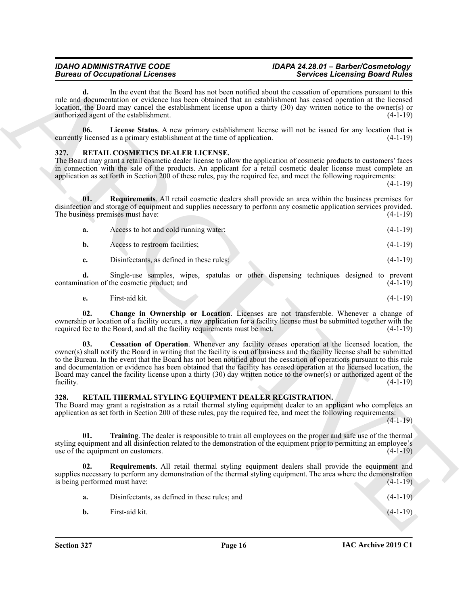### *IDAHO ADMINISTRATIVE CODE IDAPA 24.28.01 – Barber/Cosmetology*

**d.** In the event that the Board has not been notified about the cessation of operations pursuant to this rule and documentation or evidence has been obtained that an establishment has ceased operation at the licensed location, the Board may cancel the establishment license upon a thirty (30) day written notice to the owner(s) or authorized agent of the establishment. (4-1-19)

<span id="page-15-2"></span>**06.** License Status. A new primary establishment license will not be issued for any location that is licensed as a primary establishment at the time of application.  $(4-1-19)$ currently licensed as a primary establishment at the time of application.

#### <span id="page-15-3"></span><span id="page-15-0"></span>**327. RETAIL COSMETICS DEALER LICENSE.**

The Board may grant a retail cosmetic dealer license to allow the application of cosmetic products to customers' faces in connection with the sale of the products. An applicant for a retail cosmetic dealer license must complete an application as set forth in Section 200 of these rules, pay the required fee, and meet the following requirements:

(4-1-19)

**01. Requirements**. All retail cosmetic dealers shall provide an area within the business premises for disinfection and storage of equipment and supplies necessary to perform any cosmetic application services provided.<br>The business premises must have: (4-1-19) The business premises must have:

<span id="page-15-6"></span>

| а. | Access to hot and cold running water;     | $(4-1-19)$ |
|----|-------------------------------------------|------------|
|    | Access to restroom facilities;            | $(4-1-19)$ |
|    | Disinfectants, as defined in these rules; | $(4-1-19)$ |

**d.** Single-use samples, wipes, spatulas or other dispensing techniques designed to prevent contamination of the cosmetic product; and

<span id="page-15-5"></span><span id="page-15-4"></span>
$$
e. \qquad \text{First-aid kit.} \tag{4-1-19}
$$

**02. Change in Ownership or Location**. Licenses are not transferable. Whenever a change of ownership or location of a facility occurs, a new application for a facility license must be submitted together with the required fee to the Board, and all the facility requirements must be met. (4-1-19)

Borrow of Concernsion Christmas states and the substitution of the Concernsion Christmas states and the substitution of the substitution of the substitution of the substitution of the substitution of the substitution of t **03. Cessation of Operation**. Whenever any facility ceases operation at the licensed location, the owner(s) shall notify the Board in writing that the facility is out of business and the facility license shall be submitted to the Bureau. In the event that the Board has not been notified about the cessation of operations pursuant to this rule and documentation or evidence has been obtained that the facility has ceased operation at the licensed location, the Board may cancel the facility license upon a thirty (30) day written notice to the owner(s) or authorized agent of the facility. (4-1-19)

#### <span id="page-15-7"></span><span id="page-15-1"></span>**328. RETAIL THERMAL STYLING EQUIPMENT DEALER REGISTRATION.**

The Board may grant a registration as a retail thermal styling equipment dealer to an applicant who completes an application as set forth in Section 200 of these rules, pay the required fee, and meet the following requirements:

 $(4-1-19)$ 

<span id="page-15-9"></span>**01. Training**. The dealer is responsible to train all employees on the proper and safe use of the thermal styling equipment and all disinfection related to the demonstration of the equipment prior to permitting an employee's use of the equipment on customers.  $(4-1-19)$ 

**02. Requirements**. All retail thermal styling equipment dealers shall provide the equipment and supplies necessary to perform any demonstration of the thermal styling equipment. The area where the demonstration is being performed must have: (4-1-19)

<span id="page-15-8"></span>

| <b>a.</b> | Disinfectants, as defined in these rules; and | $(4-1-19)$ |
|-----------|-----------------------------------------------|------------|
| <b>b.</b> | First-aid kit.                                | $(4-1-19)$ |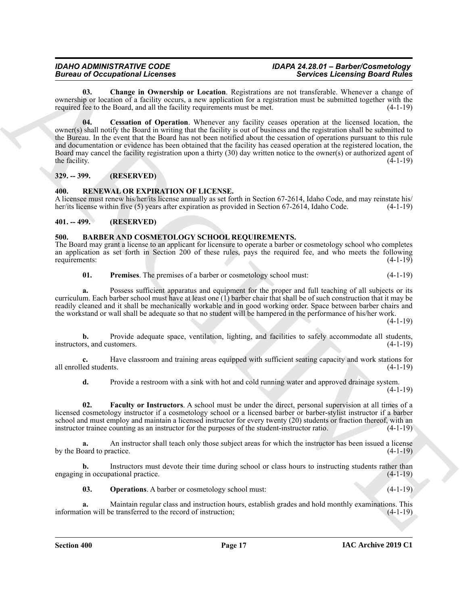### *IDAHO ADMINISTRATIVE CODE IDAPA 24.28.01 – Barber/Cosmetology*

<span id="page-16-10"></span><span id="page-16-9"></span>**03. Change in Ownership or Location**. Registrations are not transferable. Whenever a change of ownership or location of a facility occurs, a new application for a registration must be submitted together with the required fee to the Board, and all the facility requirements must be met. (4-1-19)

Bureau al Queenplates change in the method and the thermal interest in the state of the state of the state of the state of the state of the state of the state of the state of the state of the state of the state of the sta **04. Cessation of Operation**. Whenever any facility ceases operation at the licensed location, the owner(s) shall notify the Board in writing that the facility is out of business and the registration shall be submitted to the Bureau. In the event that the Board has not been notified about the cessation of operations pursuant to this rule and documentation or evidence has been obtained that the facility has ceased operation at the registered location, the Board may cancel the facility registration upon a thirty (30) day written notice to the owner(s) or authorized agent of the facility.  $(4-1-19)$ 

#### <span id="page-16-0"></span>**329. -- 399. (RESERVED)**

#### <span id="page-16-8"></span><span id="page-16-1"></span>**400. RENEWAL OR EXPIRATION OF LICENSE.**

A licensee must renew his/her/its license annually as set forth in Section 67-2614, Idaho Code, and may reinstate his/<br>her/its license within five (5) years after expiration as provided in Section 67-2614, Idaho Code. (4-1 her/its license within five (5) years after expiration as provided in Section 67-2614, Idaho Code.

#### <span id="page-16-2"></span>**401. -- 499. (RESERVED)**

#### <span id="page-16-4"></span><span id="page-16-3"></span>**500. BARBER AND COSMETOLOGY SCHOOL REQUIREMENTS.**

The Board may grant a license to an applicant for licensure to operate a barber or cosmetology school who completes an application as set forth in Section 200 of these rules, pays the required fee, and who meets the following requirements:  $(4-1-19)$ requirements:

<span id="page-16-7"></span>**01. Premises**. The premises of a barber or cosmetology school must: (4-1-19)

**a.** Possess sufficient apparatus and equipment for the proper and full teaching of all subjects or its curriculum. Each barber school must have at least one  $(1)$  barber chair that shall be of such construction that it may be readily cleaned and it shall be mechanically workable and in good working order. Space between barber chairs and the workstand or wall shall be adequate so that no student will be hampered in the performance of his/her work.

(4-1-19)

**b.** Provide adequate space, ventilation, lighting, and facilities to safely accommodate all students, instructors, and customers. (4-1-19)

**c.** Have classroom and training areas equipped with sufficient seating capacity and work stations for all enrolled students. (4-1-19)

<span id="page-16-5"></span>**d.** Provide a restroom with a sink with hot and cold running water and approved drainage system.  $(4-1-19)$ 

**02. Faculty or Instructors**. A school must be under the direct, personal supervision at all times of a licensed cosmetology instructor if a cosmetology school or a licensed barber or barber-stylist instructor if a barber school and must employ and maintain a licensed instructor for every twenty (20) students or fraction thereof, with an instructor trainee counting as an instructor for the purposes of the student-instructor ratio. (4-1-19)

**a.** An instructor shall teach only those subject areas for which the instructor has been issued a license by the Board to practice. (4-1-19)

**b.** Instructors must devote their time during school or class hours to instructing students rather than engaging in occupational practice. (4-1-19)

<span id="page-16-6"></span>**03. Operations**. A barber or cosmetology school must: (4-1-19)

**a.** Maintain regular class and instruction hours, establish grades and hold monthly examinations. This information will be transferred to the record of instruction; (4-1-19)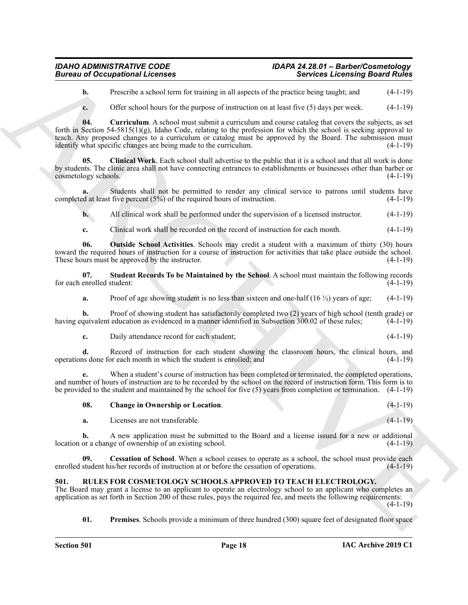#### *IDAHO ADMINISTRATIVE CODE IDAPA 24.28.01 – Barber/Cosmetology*  **Bureau of Occupational Licenses**

**b.** Prescribe a school term for training in all aspects of the practice being taught; and  $(4-1-19)$ 

<span id="page-17-4"></span><span id="page-17-3"></span>**c.** Offer school hours for the purpose of instruction on at least five (5) days per week. (4-1-19)

Bureau of Occupations I Leonards<br>
(Sevident Leonards<br>
(Sevident Leonards<br>
(A1-19)<br>
(A1-19)<br>
(A1-19)<br>
(A1-19)<br>
(A1-19)<br>
(A1-19)<br>
(A1-19)<br>
(A1-19)<br>
(A1-19)<br>
(A1-19)<br>
(A1-19)<br>
(A1-19)<br>
(A1-19)<br>
(A1-19)<br>
(A1-19)<br>
(A1-19)<br>
(A1 **04. Curriculum**. A school must submit a curriculum and course catalog that covers the subjects, as set forth in Section 54-5815(1)(g), Idaho Code, relating to the profession for which the school is seeking approval to teach. Any proposed changes to a curriculum or catalog must be approved by the Board. The submission must identify what specific changes are being made to the curriculum. (4-1-19)

**05. Clinical Work**. Each school shall advertise to the public that it is a school and that all work is done by students. The clinic area shall not have connecting entrances to establishments or businesses other than barber or cosmetology schools. (4-1-19)

**a.** Students shall not be permitted to render any clinical service to patrons until students have completed at least five percent  $(5\%)$  of the required hours of instruction.  $(4-1-19)$ 

**b.** All clinical work shall be performed under the supervision of a licensed instructor. (4-1-19)

<span id="page-17-5"></span>**c.** Clinical work shall be recorded on the record of instruction for each month. (4-1-19)

**06. Outside School Activities**. Schools may credit a student with a maximum of thirty (30) hours toward the required hours of instruction for a course of instruction for activities that take place outside the school.<br>These hours must be approved by the instructor. (4-1-19) These hours must be approved by the instructor.

**07. Student Records To be Maintained by the School**. A school must maintain the following records enrolled student: (4-1-19) for each enrolled student:

<span id="page-17-6"></span>**a.** Proof of age showing student is no less than sixteen and one-half  $(16 \frac{1}{2})$  years of age;  $(4-1-19)$ 

**b.** Proof of showing student has satisfactorily completed two (2) years of high school (tenth grade) or quivalent education as evidenced in a manner identified in Subsection 300.02 of these rules; (4-1-19) having equivalent education as evidenced in a manner identified in Subsection 300.02 of these rules;

**c.** Daily attendance record for each student; (4-1-19)

**d.** Record of instruction for each student showing the classroom hours, the clinical hours, and operations done for each month in which the student is enrolled; and (4-1-19)

**e.** When a student's course of instruction has been completed or terminated, the completed operations, and number of hours of instruction are to be recorded by the school on the record of instruction form. This form is to be provided to the student and maintained by the school for five (5) years from completion or termination. (4-1-19)

### <span id="page-17-2"></span>**08. Change in Ownership or Location**. (4-1-19)

<span id="page-17-1"></span>**a.** Licenses are not transferable. (4-1-19)

**b.** A new application must be submitted to the Board and a license issued for a new or additional location or a change of ownership of an existing school. (4-1-19)

**09.** Cessation of School. When a school ceases to operate as a school, the school must provide each student his/her records of instruction at or before the cessation of operations. (4-1-19) enrolled student his/her records of instruction at or before the cessation of operations.

#### <span id="page-17-7"></span><span id="page-17-0"></span>**501. RULES FOR COSMETOLOGY SCHOOLS APPROVED TO TEACH ELECTROLOGY.**

The Board may grant a license to an applicant to operate an electrology school to an applicant who completes an application as set forth in Section 200 of these rules, pays the required fee, and meets the following requirements:  $(4-1-19)$ 

<span id="page-17-8"></span>**01. Premises**. Schools provide a minimum of three hundred (300) square feet of designated floor space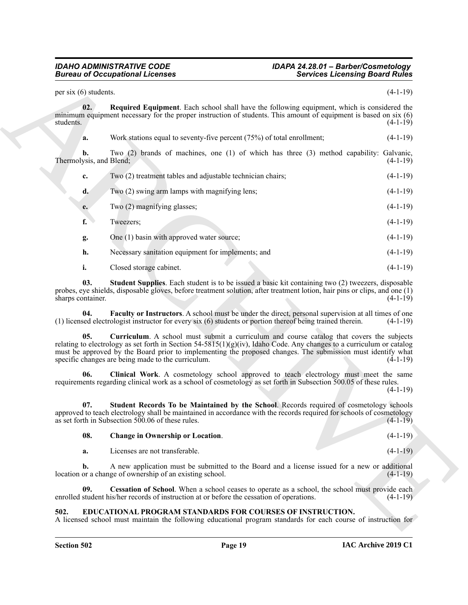### <span id="page-18-7"></span>*IDAHO ADMINISTRATIVE CODE IDAPA 24.28.01 – Barber/Cosmetology*

| per six (6) students.         |                                                                                                                                                                                                                                                                                                                                                                                         | $(4-1-19)$ |
|-------------------------------|-----------------------------------------------------------------------------------------------------------------------------------------------------------------------------------------------------------------------------------------------------------------------------------------------------------------------------------------------------------------------------------------|------------|
|                               |                                                                                                                                                                                                                                                                                                                                                                                         |            |
| 02.<br>students.              | <b>Required Equipment.</b> Each school shall have the following equipment, which is considered the<br>minimum equipment necessary for the proper instruction of students. This amount of equipment is based on six (6)                                                                                                                                                                  | $(4-1-19)$ |
| a.                            | Work stations equal to seventy-five percent $(75%)$ of total enrollment;                                                                                                                                                                                                                                                                                                                | $(4-1-19)$ |
| b.<br>Thermolysis, and Blend; | Two (2) brands of machines, one (1) of which has three (3) method capability: Galvanic,                                                                                                                                                                                                                                                                                                 | $(4-1-19)$ |
| c.                            | Two (2) treatment tables and adjustable technician chairs;                                                                                                                                                                                                                                                                                                                              | $(4-1-19)$ |
| d.                            | Two (2) swing arm lamps with magnifying lens;                                                                                                                                                                                                                                                                                                                                           | $(4-1-19)$ |
| e.                            | Two (2) magnifying glasses;                                                                                                                                                                                                                                                                                                                                                             | $(4-1-19)$ |
| f.                            | Tweezers;                                                                                                                                                                                                                                                                                                                                                                               | $(4-1-19)$ |
| g.                            | One (1) basin with approved water source;                                                                                                                                                                                                                                                                                                                                               | $(4-1-19)$ |
| h.                            | Necessary sanitation equipment for implements; and                                                                                                                                                                                                                                                                                                                                      | $(4-1-19)$ |
| i.                            | Closed storage cabinet.                                                                                                                                                                                                                                                                                                                                                                 | $(4-1-19)$ |
| 03.<br>sharps container.      | <b>Student Supplies.</b> Each student is to be issued a basic kit containing two (2) tweezers, disposable<br>probes, eye shields, disposable gloves, before treatment solution, after treatment lotion, hair pins or clips, and one (1)                                                                                                                                                 | $(4-1-19)$ |
| 04.                           | <b>Faculty or Instructors.</b> A school must be under the direct, personal supervision at all times of one<br>(1) licensed electrologist instructor for every six (6) students or portion thereof being trained therein.                                                                                                                                                                | $(4-1-19)$ |
| 05.                           | Curriculum. A school must submit a curriculum and course catalog that covers the subjects<br>relating to electrology as set forth in Section 54-5815(1)(g)(iv), Idaho Code. Any changes to a curriculum or catalog<br>must be approved by the Board prior to implementing the proposed changes. The submission must identify what<br>specific changes are being made to the curriculum. | $(4-1-19)$ |
| 06.                           | Clinical Work. A cosmetology school approved to teach electrology must meet the same<br>requirements regarding clinical work as a school of cosmetology as set forth in Subsection 500.05 of these rules.                                                                                                                                                                               | $(4-1-19)$ |
| 07.                           | Student Records To be Maintained by the School. Records required of cosmetology schools<br>approved to teach electrology shall be maintained in accordance with the records required for schools of cosmetology<br>as set forth in Subsection $500.06$ of these rules.                                                                                                                  | $(4-1-19)$ |
| 08.                           | <b>Change in Ownership or Location.</b>                                                                                                                                                                                                                                                                                                                                                 | $(4-1-19)$ |
| a.                            | Licenses are not transferable.                                                                                                                                                                                                                                                                                                                                                          | $(4-1-19)$ |
| b.                            | A new application must be submitted to the Board and a license issued for a new or additional<br>location or a change of ownership of an existing school.                                                                                                                                                                                                                               | $(4-1-19)$ |
| 09.                           | Cessation of School. When a school ceases to operate as a school, the school must provide each<br>enrolled student his/her records of instruction at or before the cessation of operations.                                                                                                                                                                                             | $(4-1-19)$ |
| 502.                          | EDUCATIONAL PROGRAM STANDARDS FOR COURSES OF INSTRUCTION.                                                                                                                                                                                                                                                                                                                               |            |

<span id="page-18-9"></span><span id="page-18-8"></span><span id="page-18-6"></span><span id="page-18-5"></span><span id="page-18-4"></span><span id="page-18-3"></span><span id="page-18-2"></span>

| -08. | <b>Change in Ownership or Location.</b> | $(4-1-19)$ |
|------|-----------------------------------------|------------|
|      | Licenses are not transferable.          | $(4-1-19)$ |

#### <span id="page-18-1"></span><span id="page-18-0"></span>**502. EDUCATIONAL PROGRAM STANDARDS FOR COURSES OF INSTRUCTION.**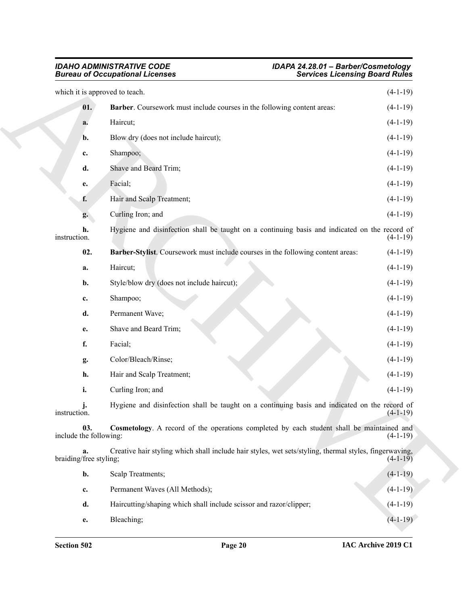#### <span id="page-19-2"></span><span id="page-19-1"></span><span id="page-19-0"></span>*IDAHO ADMINISTRATIVE CODE IDAPA 24.28.01 – Barber/Cosmetology Bureau of Occupational Licenses Services Licensing Board Rules*

| <b>Bureau of Occupational Licenses</b> |                                                                                                        | <b>Services Licensing Board Rules</b> |  |
|----------------------------------------|--------------------------------------------------------------------------------------------------------|---------------------------------------|--|
| which it is approved to teach.         |                                                                                                        | $(4-1-19)$                            |  |
| 01.                                    | Barber. Coursework must include courses in the following content areas:                                | $(4-1-19)$                            |  |
| a.                                     | Haircut;                                                                                               | $(4-1-19)$                            |  |
| b.                                     | Blow dry (does not include haircut);                                                                   | $(4-1-19)$                            |  |
| c.                                     | Shampoo;                                                                                               | $(4-1-19)$                            |  |
| d.                                     | Shave and Beard Trim;                                                                                  | $(4-1-19)$                            |  |
| e.                                     | Facial;                                                                                                | $(4-1-19)$                            |  |
| f.                                     | Hair and Scalp Treatment;                                                                              | $(4-1-19)$                            |  |
| g.                                     | Curling Iron; and                                                                                      | $(4-1-19)$                            |  |
| h.<br>instruction.                     | Hygiene and disinfection shall be taught on a continuing basis and indicated on the record of          | $(4-1-19)$                            |  |
| 02.                                    | Barber-Stylist. Coursework must include courses in the following content areas:                        | $(4-1-19)$                            |  |
| a.                                     | Haircut;                                                                                               | $(4-1-19)$                            |  |
| b.                                     | Style/blow dry (does not include haircut);                                                             | $(4-1-19)$                            |  |
| c.                                     | Shampoo;                                                                                               | $(4-1-19)$                            |  |
| d.                                     | Permanent Wave;                                                                                        | $(4-1-19)$                            |  |
| e.                                     | Shave and Beard Trim;                                                                                  | $(4-1-19)$                            |  |
| f.                                     | Facial;                                                                                                | $(4-1-19)$                            |  |
| g.                                     | Color/Bleach/Rinse;                                                                                    | $(4-1-19)$                            |  |
| h.                                     | Hair and Scalp Treatment;                                                                              | $(4-1-19)$                            |  |
| i.                                     | Curling Iron; and                                                                                      | $(4-1-19)$                            |  |
| J.<br>instruction.                     | Hygiene and disinfection shall be taught on a continuing basis and indicated on the record of          | $(4-1-19)$                            |  |
| 03.<br>include the following:          | Cosmetology. A record of the operations completed by each student shall be maintained and              | $(4-1-19)$                            |  |
| a.<br>braiding/free styling;           | Creative hair styling which shall include hair styles, wet sets/styling, thermal styles, fingerwaving, | $(4-1-19)$                            |  |
| b.                                     | Scalp Treatments;                                                                                      | $(4-1-19)$                            |  |
| c.                                     | Permanent Waves (All Methods);                                                                         | $(4-1-19)$                            |  |
| d.                                     | Haircutting/shaping which shall include scissor and razor/clipper;                                     | $(4-1-19)$                            |  |
| e.                                     | Bleaching;                                                                                             | $(4-1-19)$                            |  |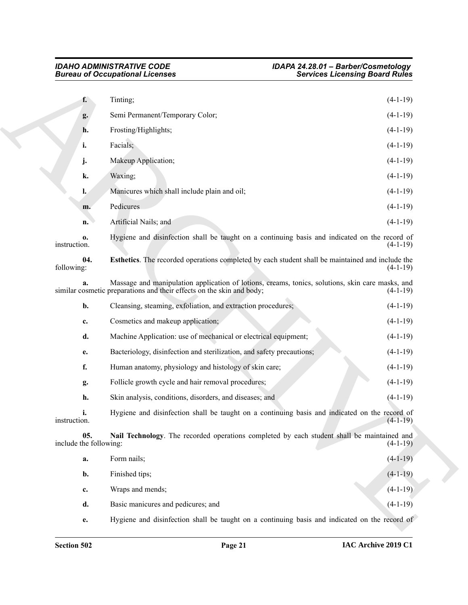<span id="page-20-1"></span><span id="page-20-0"></span>

|                               | <b>Bureau of Occupational Licenses</b>                                                                                                                                    | <b>Services Licensing Board Rules</b> |
|-------------------------------|---------------------------------------------------------------------------------------------------------------------------------------------------------------------------|---------------------------------------|
| f.                            | Tinting;                                                                                                                                                                  | $(4-1-19)$                            |
| g.                            | Semi Permanent/Temporary Color;                                                                                                                                           | $(4-1-19)$                            |
| h.                            | Frosting/Highlights;                                                                                                                                                      | $(4-1-19)$                            |
| i.                            | Facials;                                                                                                                                                                  | $(4-1-19)$                            |
| j.                            | Makeup Application;                                                                                                                                                       | $(4-1-19)$                            |
| k.                            | Waxing;                                                                                                                                                                   | $(4-1-19)$                            |
| l.                            | Manicures which shall include plain and oil;                                                                                                                              | $(4-1-19)$                            |
| m.                            | Pedicures                                                                                                                                                                 | $(4-1-19)$                            |
| n.                            | Artificial Nails; and                                                                                                                                                     | $(4-1-19)$                            |
| 0.<br>instruction.            | Hygiene and disinfection shall be taught on a continuing basis and indicated on the record of                                                                             | $(4-1-19)$                            |
| 04.<br>following:             | Esthetics. The recorded operations completed by each student shall be maintained and include the                                                                          | $(4-1-19)$                            |
| a.                            | Massage and manipulation application of lotions, creams, tonics, solutions, skin care masks, and<br>similar cosmetic preparations and their effects on the skin and body; | $(4-1-19)$                            |
| b.                            | Cleansing, steaming, exfoliation, and extraction procedures;                                                                                                              | $(4-1-19)$                            |
| c.                            | Cosmetics and makeup application;                                                                                                                                         | $(4-1-19)$                            |
| d.                            | Machine Application: use of mechanical or electrical equipment;                                                                                                           | $(4-1-19)$                            |
| e.                            | Bacteriology, disinfection and sterilization, and safety precautions;                                                                                                     | $(4-1-19)$                            |
| f.                            | Human anatomy, physiology and histology of skin care;                                                                                                                     | $(4-1-19)$                            |
| g.                            | Follicle growth cycle and hair removal procedures;                                                                                                                        | $(4-1-19)$                            |
| h.                            | Skin analysis, conditions, disorders, and diseases; and                                                                                                                   | $(4-1-19)$                            |
| i.<br>instruction.            | Hygiene and disinfection shall be taught on a continuing basis and indicated on the record of                                                                             | $(4-1-19)$                            |
| 05.<br>include the following: | Nail Technology. The recorded operations completed by each student shall be maintained and                                                                                | $(4-1-19)$                            |
| a.                            | Form nails;                                                                                                                                                               | $(4-1-19)$                            |
| b.                            | Finished tips;                                                                                                                                                            | $(4-1-19)$                            |
| c.                            | Wraps and mends;                                                                                                                                                          | $(4-1-19)$                            |
| d.                            | Basic manicures and pedicures; and                                                                                                                                        | $(4-1-19)$                            |
| e.                            | Hygiene and disinfection shall be taught on a continuing basis and indicated on the record of                                                                             |                                       |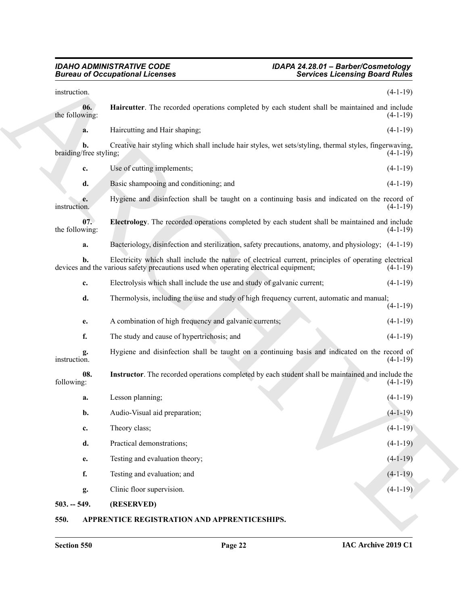#### <span id="page-21-4"></span><span id="page-21-3"></span>*IDAHO ADMINISTRATIVE CODE IDAPA 24.28.01 – Barber/Cosmetology Bureau of Occupational Licenses Services Licensing Board Rules*

|                              | <b>Bureau of Occupational Licenses</b><br><b>Services Licensing Board Rules</b>                                                                                                              |                                                                                                             |  |
|------------------------------|----------------------------------------------------------------------------------------------------------------------------------------------------------------------------------------------|-------------------------------------------------------------------------------------------------------------|--|
| instruction.                 |                                                                                                                                                                                              | $(4-1-19)$                                                                                                  |  |
| 06.<br>the following:        | Haircutter. The recorded operations completed by each student shall be maintained and include                                                                                                | $(4-1-19)$                                                                                                  |  |
| a.                           | Haircutting and Hair shaping;                                                                                                                                                                | $(4-1-19)$                                                                                                  |  |
| b.<br>braiding/free styling; | Creative hair styling which shall include hair styles, wet sets/styling, thermal styles, fingerwaving,                                                                                       | $(4-1-19)$                                                                                                  |  |
| c.                           | Use of cutting implements;                                                                                                                                                                   | $(4-1-19)$                                                                                                  |  |
| d.                           | Basic shampooing and conditioning; and                                                                                                                                                       | $(4-1-19)$                                                                                                  |  |
| e.<br>instruction.           | Hygiene and disinfection shall be taught on a continuing basis and indicated on the record of                                                                                                | $(4-1-19)$                                                                                                  |  |
| 07.<br>the following:        | Electrology. The recorded operations completed by each student shall be maintained and include                                                                                               | $(4-1-19)$                                                                                                  |  |
| a.                           | Bacteriology, disinfection and sterilization, safety precautions, anatomy, and physiology; (4-1-19)                                                                                          |                                                                                                             |  |
| b.                           | Electricity which shall include the nature of electrical current, principles of operating electrical<br>devices and the various safety precautions used when operating electrical equipment; | $(4-1-19)$                                                                                                  |  |
| c.                           | Electrolysis which shall include the use and study of galvanic current;                                                                                                                      | $(4-1-19)$                                                                                                  |  |
| d.                           | Thermolysis, including the use and study of high frequency current, automatic and manual;                                                                                                    | $(4-1-19)$                                                                                                  |  |
| e.                           | A combination of high frequency and galvanic currents;                                                                                                                                       | $(4-1-19)$                                                                                                  |  |
| f.                           | The study and cause of hypertrichosis; and                                                                                                                                                   | $(4-1-19)$                                                                                                  |  |
| g.<br>instruction.           |                                                                                                                                                                                              | Hygiene and disinfection shall be taught on a continuing basis and indicated on the record of<br>$(4-1-19)$ |  |
| 08.<br>following:            | Instructor. The recorded operations completed by each student shall be maintained and include the                                                                                            | $(4-1-19)$                                                                                                  |  |
| a.                           | Lesson planning;                                                                                                                                                                             | $(4-1-19)$                                                                                                  |  |
| b.                           | Audio-Visual aid preparation;                                                                                                                                                                | $(4-1-19)$                                                                                                  |  |
| c.                           | Theory class;                                                                                                                                                                                | $(4-1-19)$                                                                                                  |  |
| d.                           | Practical demonstrations;                                                                                                                                                                    | $(4-1-19)$                                                                                                  |  |
| e.                           | Testing and evaluation theory;                                                                                                                                                               | $(4-1-19)$                                                                                                  |  |
| f.                           | Testing and evaluation; and                                                                                                                                                                  | $(4-1-19)$                                                                                                  |  |
| g.                           | Clinic floor supervision.                                                                                                                                                                    | $(4-1-19)$                                                                                                  |  |
| $503. - 549.$                | (RESERVED)                                                                                                                                                                                   |                                                                                                             |  |

#### <span id="page-21-5"></span><span id="page-21-2"></span><span id="page-21-1"></span><span id="page-21-0"></span>**550. APPRENTICE REGISTRATION AND APPRENTICESHIPS.**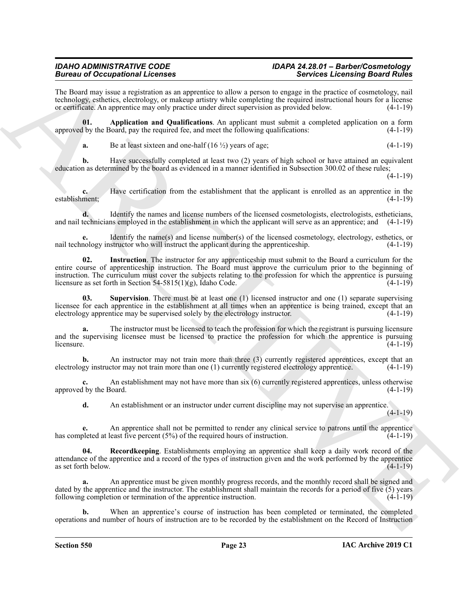### *IDAHO ADMINISTRATIVE CODE IDAPA 24.28.01 – Barber/Cosmetology*

The Board may issue a registration as an apprentice to allow a person to engage in the practice of cosmetology, nail technology, esthetics, electrology, or makeup artistry while completing the required instructional hours for a license or certificate. An apprentice may only practice under direct supervision as provided below. (4-1-19)

**01. Application and Qualifications**. An applicant must submit a completed application on a form approved by the Board, pay the required fee, and meet the following qualifications: (4-1-19)

<span id="page-22-0"></span>**a.** Be at least sixteen and one-half  $(16 \frac{1}{2})$  years of age;  $(4-1-19)$ 

**b.** Have successfully completed at least two (2) years of high school or have attained an equivalent education as determined by the board as evidenced in a manner identified in Subsection 300.02 of these rules;

(4-1-19)

**c.** Have certification from the establishment that the applicant is enrolled as an apprentice in the establishment; (4-1-19)

**d.** Identify the names and license numbers of the licensed cosmetologists, electrologists, estheticians, and nail technicians employed in the establishment in which the applicant will serve as an apprentice; and (4-1-19)

<span id="page-22-1"></span>**e.** Identify the name(s) and license number(s) of the licensed cosmetology, electrology, esthetics, or nail technology instructor who will instruct the applicant during the apprenticeship.  $(4-1-19)$ 

Because of Occupationist Licenses<br>
The theorem is proposed to the experimental decrease and the proposed to the experimental decrease and<br>
Notice the experimental of the experimental decrease and the experimental of the e **02. Instruction**. The instructor for any apprenticeship must submit to the Board a curriculum for the entire course of apprenticeship instruction. The Board must approve the curriculum prior to the beginning of instruction. The curriculum must cover the subjects relating to the profession for which the apprentice is pursuing licensure as set forth in Section 54-5815(1)(g), Idaho Code.  $(4-1-19)$ licensure as set forth in Section 54-5815(1)(g), Idaho Code.

<span id="page-22-3"></span>**03. Supervision**. There must be at least one (1) licensed instructor and one (1) separate supervising licensee for each apprentice in the establishment at all times when an apprentice is being trained, except that an electrology apprentice may be supervised solely by the electrology instructor. (4-1-19)

**a.** The instructor must be licensed to teach the profession for which the registrant is pursuing licensure and the supervising licensee must be licensed to practice the profession for which the apprentice is pursuing  $\blacksquare$ licensure. (4-1-19)

**b.** An instructor may not train more than three (3) currently registered apprentices, except that an electrology instructor may not train more than one (1) currently registered electrology apprentice. (4-1-19)

An establishment may not have more than six (6) currently registered apprentices, unless otherwise loard. (4-1-19) approved by the Board.

<span id="page-22-2"></span>**d.** An establishment or an instructor under current discipline may not supervise an apprentice.

 $(4-1-19)$ 

**e.** An apprentice shall not be permitted to render any clinical service to patrons until the apprentice bleted at least five percent (5%) of the required hours of instruction. (4-1-19) has completed at least five percent  $(5%)$  of the required hours of instruction.

**04. Recordkeeping**. Establishments employing an apprentice shall keep a daily work record of the attendance of the apprentice and a record of the types of instruction given and the work performed by the apprentice as set forth below. as set forth below.

**a.** An apprentice must be given monthly progress records, and the monthly record shall be signed and dated by the apprentice and the instructor. The establishment shall maintain the records for a period of five  $(5)$  years following completion or termination of the apprentice instruction. (4-1-19)

**b.** When an apprentice's course of instruction has been completed or terminated, the completed operations and number of hours of instruction are to be recorded by the establishment on the Record of Instruction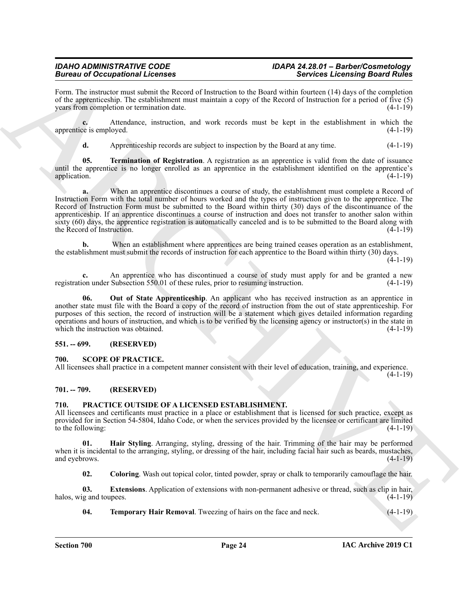### *IDAHO ADMINISTRATIVE CODE IDAPA 24.28.01 – Barber/Cosmetology*

Form. The instructor must submit the Record of Instruction to the Board within fourteen (14) days of the completion of the apprenticeship. The establishment must maintain a copy of the Record of Instruction for a period of five (5) years from completion or termination date. (4-1-19)

**c.** Attendance, instruction, and work records must be kept in the establishment in which the apprentice is employed. (4-1-19)

<span id="page-23-5"></span>**d.** Apprenticeship records are subject to inspection by the Board at any time.  $(4-1-19)$ 

**05. Termination of Registration**. A registration as an apprentice is valid from the date of issuance until the apprentice is no longer enrolled as an apprentice in the establishment identified on the apprentice's application.  $(4-1-19)$ 

**Branch of Comparison in Leven by the state of the state of the state of the state of the state of the state of the state of the state of the state of the state of the state of the state of the state of the state of the s** When an apprentice discontinues a course of study, the establishment must complete a Record of Instruction Form with the total number of hours worked and the types of instruction given to the apprentice. The Record of Instruction Form must be submitted to the Board within thirty (30) days of the discontinuance of the apprenticeship. If an apprentice discontinues a course of instruction and does not transfer to another salon within sixty (60) days, the apprentice registration is automatically canceled and is to be submitted to the Board along with the Record of Instruction. (4-1-19)

**b.** When an establishment where apprentices are being trained ceases operation as an establishment, the establishment must submit the records of instruction for each apprentice to the Board within thirty (30) days.

 $(4-1-19)$ 

**c.** An apprentice who has discontinued a course of study must apply for and be granted a new on under Subsection 550.01 of these rules, prior to resuming instruction. (4-1-19) registration under Subsection 550.01 of these rules, prior to resuming instruction.

<span id="page-23-4"></span>**06. Out of State Apprenticeship**. An applicant who has received instruction as an apprentice in another state must file with the Board a copy of the record of instruction from the out of state apprenticeship. For purposes of this section, the record of instruction will be a statement which gives detailed information regarding operations and hours of instruction, and which is to be verified by the licensing agency or instructor(s) in the state in which the instruction was obtained.  $(4-1-19)$ 

#### <span id="page-23-0"></span>**551. -- 699. (RESERVED)**

#### <span id="page-23-11"></span><span id="page-23-1"></span>**700. SCOPE OF PRACTICE.**

All licensees shall practice in a competent manner consistent with their level of education, training, and experience. (4-1-19)

#### <span id="page-23-2"></span>**701. -- 709. (RESERVED)**

#### <span id="page-23-6"></span><span id="page-23-3"></span>**710. PRACTICE OUTSIDE OF A LICENSED ESTABLISHMENT.**

All licensees and certificants must practice in a place or establishment that is licensed for such practice, except as provided for in Section 54-5804, Idaho Code, or when the services provided by the licensee or certificant are limited to the following:  $(4-1-19)$ 

**01. Hair Styling**. Arranging, styling, dressing of the hair. Trimming of the hair may be performed when it is incidental to the arranging, styling, or dressing of the hair, including facial hair such as beards, mustaches, and eyebrows. (4-1-19) and eyebrows.

<span id="page-23-9"></span><span id="page-23-8"></span><span id="page-23-7"></span>**02. Coloring**. Wash out topical color, tinted powder, spray or chalk to temporarily camouflage the hair.

**03. Extensions**. Application of extensions with non-permanent adhesive or thread, such as clip in hair, halos, wig and toupees. (4-1-19)

<span id="page-23-10"></span>**04. Temporary Hair Removal**. Tweezing of hairs on the face and neck. (4-1-19)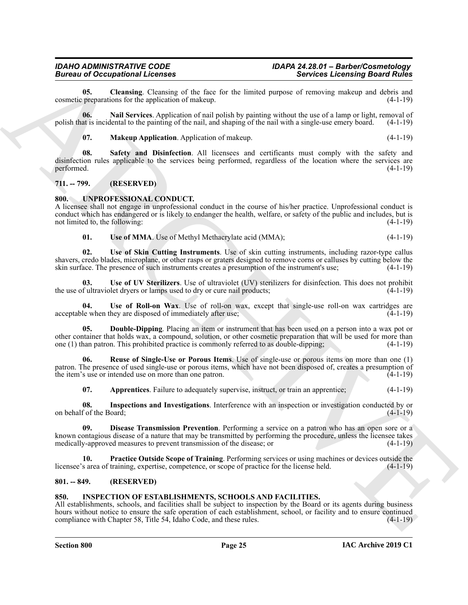<span id="page-24-5"></span>**05.** Cleansing. Cleansing of the face for the limited purpose of removing makeup and debris and preparations for the application of makeup.  $(4-1-19)$ cosmetic preparations for the application of makeup.

**06. Nail Services**. Application of nail polish by painting without the use of a lamp or light, removal of polish that is incidental to the painting of the nail, and shaping of the nail with a single-use emery board. (4-1-19)

<span id="page-24-8"></span><span id="page-24-7"></span><span id="page-24-6"></span>**07. Makeup Application**. Application of makeup. (4-1-19)

Biomazo Conception of the line of the line of the state of the state of the state of the state of the state of the state of the state of the state of the state of the state of the state of the state of the state of the st **08. Safety and Disinfection**. All licensees and certificants must comply with the safety and disinfection rules applicable to the services being performed, regardless of the location where the services are performed. (4-1-19) performed. (4-1-19)

#### <span id="page-24-0"></span>**711. -- 799. (RESERVED)**

#### <span id="page-24-9"></span><span id="page-24-1"></span>**800. UNPROFESSIONAL CONDUCT.**

A licensee shall not engage in unprofessional conduct in the course of his/her practice. Unprofessional conduct is conduct which has endangered or is likely to endanger the health, welfare, or safety of the public and includes, but is not limited to, the following: (4-1-19) (4-1-19)

#### <span id="page-24-19"></span><span id="page-24-18"></span><span id="page-24-16"></span>**01.** Use of MMA. Use of Methyl Methacrylate acid (MMA); (4-1-19)

**02. Use of Skin Cutting Instruments**. Use of skin cutting instruments, including razor-type callus shavers, credo blades, microplane, or other rasps or graters designed to remove corns or calluses by cutting below the skin surface. The presence of such instruments creates a presumption of the instrument's use; (4-1-19)

**03. Use of UV Sterilizers**. Use of ultraviolet (UV) sterilizers for disinfection. This does not prohibit the use of ultraviolet dryers or lamps used to dry or cure nail products; (4-1-19)

<span id="page-24-17"></span>Use of Roll-on Wax. Use of roll-on wax, except that single-use roll-on wax cartridges are acceptable when they are disposed of immediately after use; (4-1-19)

<span id="page-24-12"></span>**05. Double-Dipping**. Placing an item or instrument that has been used on a person into a wax pot or other container that holds wax, a compound, solution, or other cosmetic preparation that will be used for more than one (1) than patron. This prohibited practice is commonly referred to as double-dipping; (4-1-19)

**06. Reuse of Single-Use or Porous Items**. Use of single-use or porous items on more than one (1) patron. The presence of used single-use or porous items, which have not been disposed of, creates a presumption of the item's use or intended use on more than one patron. (4-1-19)

<span id="page-24-15"></span><span id="page-24-13"></span><span id="page-24-11"></span><span id="page-24-10"></span>**07. Apprentices**. Failure to adequately supervise, instruct, or train an apprentice; (4-1-19)

**08. Inspections and Investigations**. Interference with an inspection or investigation conducted by or on behalf of the Board; (4-1-19)

**09. Disease Transmission Prevention**. Performing a service on a patron who has an open sore or a known contagious disease of a nature that may be transmitted by performing the procedure, unless the licensee takes medically-approved measures to prevent transmission of the disease; or (4-1-19)

<span id="page-24-14"></span>**10. Practice Outside Scope of Training**. Performing services or using machines or devices outside the s area of training, expertise, competence, or scope of practice for the license held. (4-1-19) licensee's area of training, expertise, competence, or scope of practice for the license held.

#### <span id="page-24-2"></span>**801. -- 849. (RESERVED)**

#### <span id="page-24-4"></span><span id="page-24-3"></span>**850. INSPECTION OF ESTABLISHMENTS, SCHOOLS AND FACILITIES.**

All establishments, schools, and facilities shall be subject to inspection by the Board or its agents during business hours without notice to ensure the safe operation of each establishment, school, or facility and to ensure continued compliance with Chapter 58, Title 54, Idaho Code, and these rules. (4-1-19)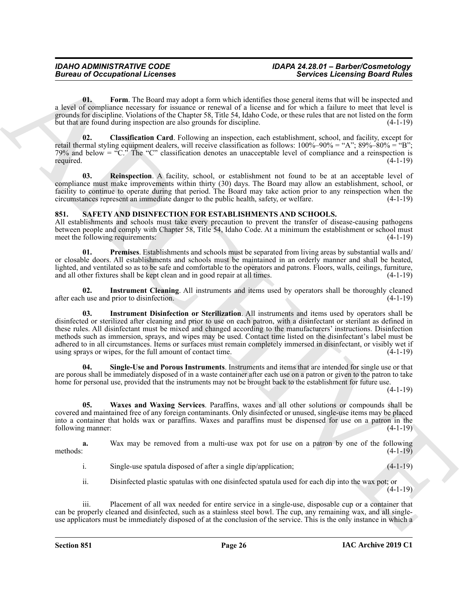<span id="page-25-2"></span>**01. Form**. The Board may adopt a form which identifies those general items that will be inspected and a level of compliance necessary for issuance or renewal of a license and for which a failure to meet that level is grounds for discipline. Violations of the Chapter 58, Title 54, Idaho Code, or these rules that are not listed on the form but that are found during inspection are also grounds for discipline. (4-1-19)

<span id="page-25-1"></span>**02. Classification Card**. Following an inspection, each establishment, school, and facility, except for retail thermal styling equipment dealers, will receive classification as follows:  $100\% - 90\% = "A"; 89\% - 80\% = "B";$ 79% and below = " $C$ ." The " $C$ " classification denotes an unacceptable level of compliance and a reinspection is required. (4-1-19)

<span id="page-25-3"></span>**03. Reinspection**. A facility, school, or establishment not found to be at an acceptable level of compliance must make improvements within thirty (30) days. The Board may allow an establishment, school, or facility to continue to operate during that period. The Board may take action prior to any reinspection when the circumstances represent an immediate danger to the public health, safety, or welfare. (4-1-19)

#### <span id="page-25-4"></span><span id="page-25-0"></span>**851. SAFETY AND DISINFECTION FOR ESTABLISHMENTS AND SCHOOLS.**

All establishments and schools must take every precaution to prevent the transfer of disease-causing pathogens between people and comply with Chapter 58, Title 54, Idaho Code. At a minimum the establishment or school must meet the following requirements: (4-1-19)

<span id="page-25-7"></span>**01. Premises**. Establishments and schools must be separated from living areas by substantial walls and/ or closable doors. All establishments and schools must be maintained in an orderly manner and shall be heated, lighted, and ventilated so as to be safe and comfortable to the operators and patrons. Floors, walls, ceilings, furniture, and all other fixtures shall be kept clean and in good repair at all times. (4-1-19)

<span id="page-25-6"></span><span id="page-25-5"></span>**02. Instrument Cleaning**. All instruments and items used by operators shall be thoroughly cleaned after each use and prior to disinfection. (4-1-19)

Bernicus of Occupations I. Leonards<br>
Units are the state of the state in the state interest in the state in the state in the state in the state in the state in the state in the state in the state in the state in the state **03. Instrument Disinfection or Sterilization**. All instruments and items used by operators shall be disinfected or sterilized after cleaning and prior to use on each patron, with a disinfectant or sterilant as defined in these rules. All disinfectant must be mixed and changed according to the manufacturers' instructions. Disinfection methods such as immersion, sprays, and wipes may be used. Contact time listed on the disinfectant's label must be adhered to in all circumstances. Items or surfaces must remain completely immersed in disinfectant, or visibly wet if using sprays or wipes, for the full amount of contact time. (4-1-19) using sprays or wipes, for the full amount of contact time.

**04. Single-Use and Porous Instruments**. Instruments and items that are intended for single use or that are porous shall be immediately disposed of in a waste container after each use on a patron or given to the patron to take home for personal use, provided that the instruments may not be brought back to the establishment for future use.

 $(4-1-19)$ 

<span id="page-25-8"></span>**05. Waxes and Waxing Services**. Paraffins, waxes and all other solutions or compounds shall be covered and maintained free of any foreign contaminants. Only disinfected or unused, single-use items may be placed into a container that holds wax or paraffins. Waxes and paraffins must be dispensed for use on a patron in the following manner: (4-1-19)

**a.** Wax may be removed from a multi-use wax pot for use on a patron by one of the following methods:  $(4-1-19)$ 

i. Single-use spatula disposed of after a single dip/application;  $(4-1-19)$ 

ii. Disinfected plastic spatulas with one disinfected spatula used for each dip into the wax pot; or (4-1-19)

iii. Placement of all wax needed for entire service in a single-use, disposable cup or a container that can be properly cleaned and disinfected, such as a stainless steel bowl. The cup, any remaining wax, and all singleuse applicators must be immediately disposed of at the conclusion of the service. This is the only instance in which a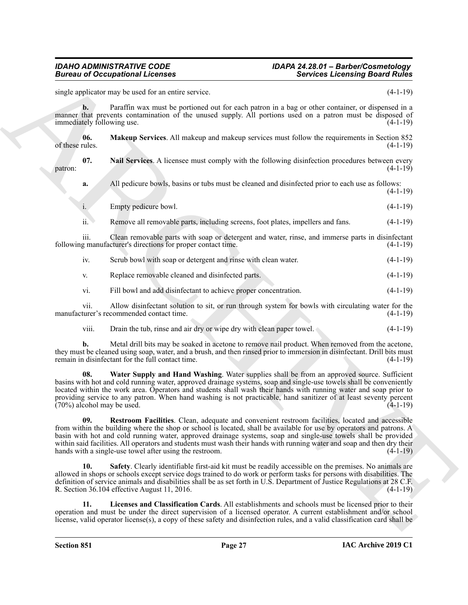### <span id="page-26-2"></span><span id="page-26-1"></span>*IDAHO ADMINISTRATIVE CODE IDAPA 24.28.01 – Barber/Cosmetology*

**Example 20** compatible the same of the same in the same in the same in the same of the same of the same of the same of the same of the same of the same of the same of the same of the same of the same of the same of the s single applicator may be used for an entire service. (4-1-19) **b.** Paraffin wax must be portioned out for each patron in a bag or other container, or dispensed in a manner that prevents contamination of the unused supply. All portions used on a patron must be disposed of immediately following use. (4-1-19) **06. Makeup Services**. All makeup and makeup services must follow the requirements in Section 852 of these rules.  $(4-1-19)$ **07. Nail Services**. A licensee must comply with the following disinfection procedures between every  $\mathsf{patron:}$  (4-1-19) **a.** All pedicure bowls, basins or tubs must be cleaned and disinfected prior to each use as follows:  $(4-1-19)$ i. Empty pedicure bowl. (4-1-19) ii. Remove all removable parts, including screens, foot plates, impellers and fans. (4-1-19) iii. Clean removable parts with soap or detergent and water, rinse, and immerse parts in disinfectant following manufacturer's directions for proper contact time. (4-1-19) iv. Scrub bowl with soap or detergent and rinse with clean water. (4-1-19) v. Replace removable cleaned and disinfected parts. (4-1-19) vi. Fill bowl and add disinfectant to achieve proper concentration. (4-1-19) vii. Allow disinfectant solution to sit, or run through system for bowls with circulating water for the manufacturer's recommended contact time. (4-1-19) viii. Drain the tub, rinse and air dry or wipe dry with clean paper towel. (4-1-19)

**b.** Metal drill bits may be soaked in acetone to remove nail product. When removed from the acetone, they must be cleaned using soap, water, and a brush, and then rinsed prior to immersion in disinfectant. Drill bits must remain in disinfectant for the full contact time. (4-1-19)

<span id="page-26-5"></span>**08. Water Supply and Hand Washing**. Water supplies shall be from an approved source. Sufficient basins with hot and cold running water, approved drainage systems, soap and single-use towels shall be conveniently located within the work area. Operators and students shall wash their hands with running water and soap prior to providing service to any patron. When hand washing is not practicable, hand sanitizer of at least seventy percent  $(70%)$  alcohol may be used.  $(4-1-19)$ 

<span id="page-26-3"></span>**09. Restroom Facilities**. Clean, adequate and convenient restroom facilities, located and accessible from within the building where the shop or school is located, shall be available for use by operators and patrons. A basin with hot and cold running water, approved drainage systems, soap and single-use towels shall be provided within said facilities. All operators and students must wash their hands with running water and soap and then dry their hands with a single-use towel after using the restroom. (4-1-19)

<span id="page-26-4"></span>**10. Safety**. Clearly identifiable first-aid kit must be readily accessible on the premises. No animals are allowed in shops or schools except service dogs trained to do work or perform tasks for persons with disabilities. The definition of service animals and disabilities shall be as set forth in U.S. Department of Justice Regulations at 28 C.F. R. Section 36.104 effective August 11, 2016. (4-1-19)

<span id="page-26-0"></span>**11. Licenses and Classification Cards**. All establishments and schools must be licensed prior to their operation and must be under the direct supervision of a licensed operator. A current establishment and/or school license, valid operator license(s), a copy of these safety and disinfection rules, and a valid classification card shall be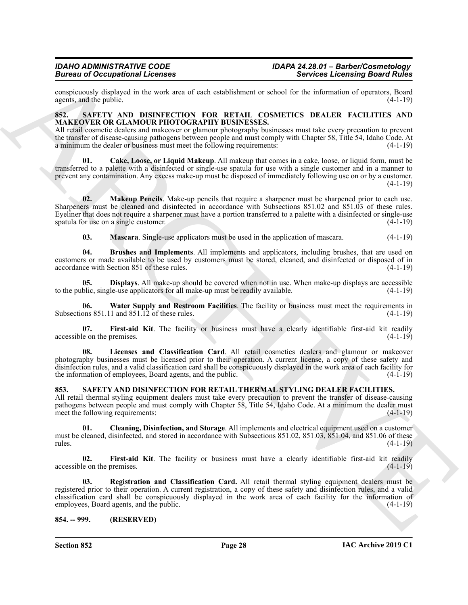conspicuously displayed in the work area of each establishment or school for the information of operators, Board agents, and the public.

#### <span id="page-27-3"></span><span id="page-27-0"></span>**852. SAFETY AND DISINFECTION FOR RETAIL COSMETICS DEALER FACILITIES AND MAKEOVER OR GLAMOUR PHOTOGRAPHY BUSINESSES.**

All retail cosmetic dealers and makeover or glamour photography businesses must take every precaution to prevent the transfer of disease-causing pathogens between people and must comply with Chapter 58, Title 54, Idaho Code. At a minimum the dealer or business must meet the following requirements: (4-1-19)

<span id="page-27-5"></span>**01. Cake, Loose, or Liquid Makeup**. All makeup that comes in a cake, loose, or liquid form, must be transferred to a palette with a disinfected or single-use spatula for use with a single customer and in a manner to prevent any contamination. Any excess make-up must be disposed of immediately following use on or by a customer.  $(4-1-19)$ 

**02. Makeup Pencils**. Make-up pencils that require a sharpener must be sharpened prior to each use. Sharpeners must be cleaned and disinfected in accordance with Subsections 851.02 and 851.03 of these rules. Eyeliner that does not require a sharpener must have a portion transferred to a palette with a disinfected or single-use spatula for use on a single customer. (4-1-19)

<span id="page-27-10"></span><span id="page-27-9"></span><span id="page-27-6"></span><span id="page-27-4"></span>**03. Mascara**. Single-use applicators must be used in the application of mascara. (4-1-19)

**04. Brushes and Implements**. All implements and applicators, including brushes, that are used on customers or made available to be used by customers must be stored, cleaned, and disinfected or disposed of in accordance with Section 851 of these rules. (4-1-19)

**05. Displays**. All make-up should be covered when not in use. When make-up displays are accessible to the public, single-use applicators for all make-up must be readily available. (4-1-19)

<span id="page-27-11"></span>**06. Water Supply and Restroom Facilities**. The facility or business must meet the requirements in Subsections 851.11 and 851.12 of these rules. (4-1-19)

<span id="page-27-7"></span>**07. First-aid Kit**. The facility or business must have a clearly identifiable first-aid kit readily accessible on the premises. (4-1-19)

<span id="page-27-8"></span>**08. Licenses and Classification Card**. All retail cosmetics dealers and glamour or makeover photography businesses must be licensed prior to their operation. A current license, a copy of these safety and disinfection rules, and a valid classification card shall be conspicuously displayed in the work area of each facility for the information of employees, Board agents, and the public. (4-1-19)

#### <span id="page-27-12"></span><span id="page-27-1"></span>**853. SAFETY AND DISINFECTION FOR RETAIL THERMAL STYLING DEALER FACILITIES.**

All retail thermal styling equipment dealers must take every precaution to prevent the transfer of disease-causing pathogens between people and must comply with Chapter 58, Title 54, Idaho Code. At a minimum the dealer must meet the following requirements: (4-1-19)

<span id="page-27-13"></span>**01. Cleaning, Disinfection, and Storage**. All implements and electrical equipment used on a customer must be cleaned, disinfected, and stored in accordance with Subsections 851.02, 851.03, 851.04, and 851.06 of these rules. (4-1-19)

<span id="page-27-15"></span><span id="page-27-14"></span>**02.** First-aid Kit. The facility or business must have a clearly identifiable first-aid kit readily le on the premises. (4-1-19) accessible on the premises.

Because of Occupations I. Leonards<br>
Services Leonards Beauvilles (1983)<br>
ARCHIVES (1983) 2003 (1983) 2003 (1983) 2003 (1983) 2003 (1983) 2003 (1983) 2003 (1983) 2003 (1983) 2003 (1983)<br>
ARCHIVES (1983) 2003 (1983) 2003 (1 **03. Registration and Classification Card.** All retail thermal styling equipment dealers must be registered prior to their operation. A current registration, a copy of these safety and disinfection rules, and a valid classification card shall be conspicuously displayed in the work area of each facility for the information of employees, Board agents, and the public.

#### <span id="page-27-2"></span>**854. -- 999. (RESERVED)**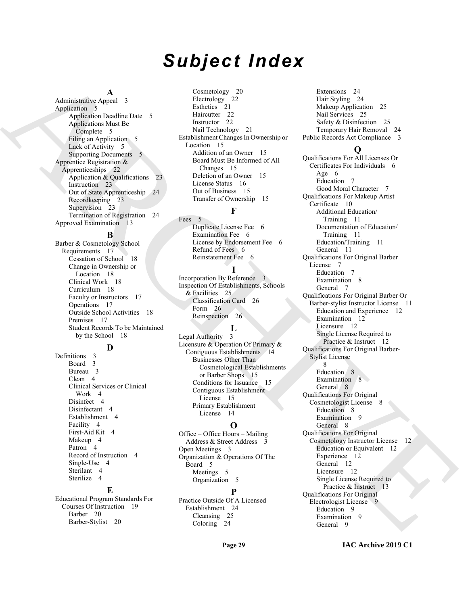# *Subject Index*

#### **A**

Administrative Appeal 3 Application 5 Application Deadline Date 5 Applications Must Be Complete 5 Filing an Application 5 Lack of Activity 5 Supporting Documents 5 Apprentice Registration & Apprenticeships 22 Application & Qualifications 23 Instruction 23 Out of State Apprenticeship 24 Recordkeeping 23 Supervision 23 Termination of Registration 24 Approved Examination 13

#### **B**

Barber & Cosmetology School Requirements 17 Cessation of School 18 Change in Ownership or Location 18 Clinical Work 18 Curriculum 18 Faculty or Instructors 17 Operations 17 Outside School Activities 18 Premises 17 Student Records To be Maintained by the School 18

#### **D**

Definitions 3 Board 3 Bureau 3 Clean 4 Clinical Services or Clinical Work 4 Disinfect 4 Disinfectant 4 Establishment 4 Facility 4 First-Aid Kit 4 Makeup 4 Patron 4 Record of Instruction 4 Single-Use 4 Sterilant 4 Sterilize 4

#### **E**

Educational Program Standards For Courses Of Instruction 19 Barber 20 Barber-Stylist 20

Cosmetology 20 Electrology<sup>2</sup>22 Esthetics 21 Haircutter 22 Instructor 22 Nail Technology 21 Establishment Changes In Ownership or Location 15 Addition of an Owner 15 Board Must Be Informed of All Changes 15 Deletion of an Owner 15 License Status 16 Out of Business 15 Transfer of Ownership 15

#### **F**

Fees 5 Duplicate License Fee 6 Examination Fee 6 License by Endorsement Fee 6 Refund of Fees 6 Reinstatement Fee 6

#### **I**

Incorporation By Reference 3 Inspection Of Establishments, Schools & Facilities 25 Classification Card 26 Form 26 Reinspection 26

#### **L**

Legal Authority 3 Licensure & Operation Of Primary & Contiguous Establishments 14 Businesses Other Than Cosmetological Establishments or Barber Shops 15 Conditions for Issuance 15 Contiguous Establishment License 15 Primary Establishment License 14

#### **O**

Office – Office Hours – Mailing Address & Street Address Open Meetings 3 Organization & Operations Of The Board 5 Meetings 5 Organization 5

#### **P**

Practice Outside Of A Licensed Establishment 24 Cleansing 25 Coloring 24

Extensions 24 Hair Styling 24 Makeup Application 25 Nail Services 25 Safety & Disinfection 25 Temporary Hair Removal 24 Public Records Act Compliance 3

#### **Q**

[A](#page-4-8)[R](#page-21-2)[C](#page-24-4)[HI](#page-14-7)[V](#page-7-7)[E](#page-11-5) Qualifications For All Licenses Or Certificates For Individuals 6 Age 6 Education 7 Good Moral Character 7 Qualifications For Makeup Artist Certificate 10 Additional Education/ Training 11 Documentation of Education/ Training 11 Education/Training 11 General 11 Qualifications For Original Barber License 7 Education 7 Examination 8 General 7 Qualifications For Original Barber Or Barber-stylist Instructor License 11 Education and Experience 12 Examination 12 Licensure 12 Single License Required to Practice & Instruct 12 Qualifications For Original Barber-Stylist License 8 Education 8 Examination 8 General 8 Qualifications For Original Cosmetologist License 8 Education 8 Examination 9 General 8 Qualifications For Original Cosmetology Instructor License 12 Education or Equivalent 12 Experience 12 General 12 Licensure 12 Single License Required to Practice & Instruct 13 Qualifications For Original Electrologist License 9 Education 9 Examination 9 General 9